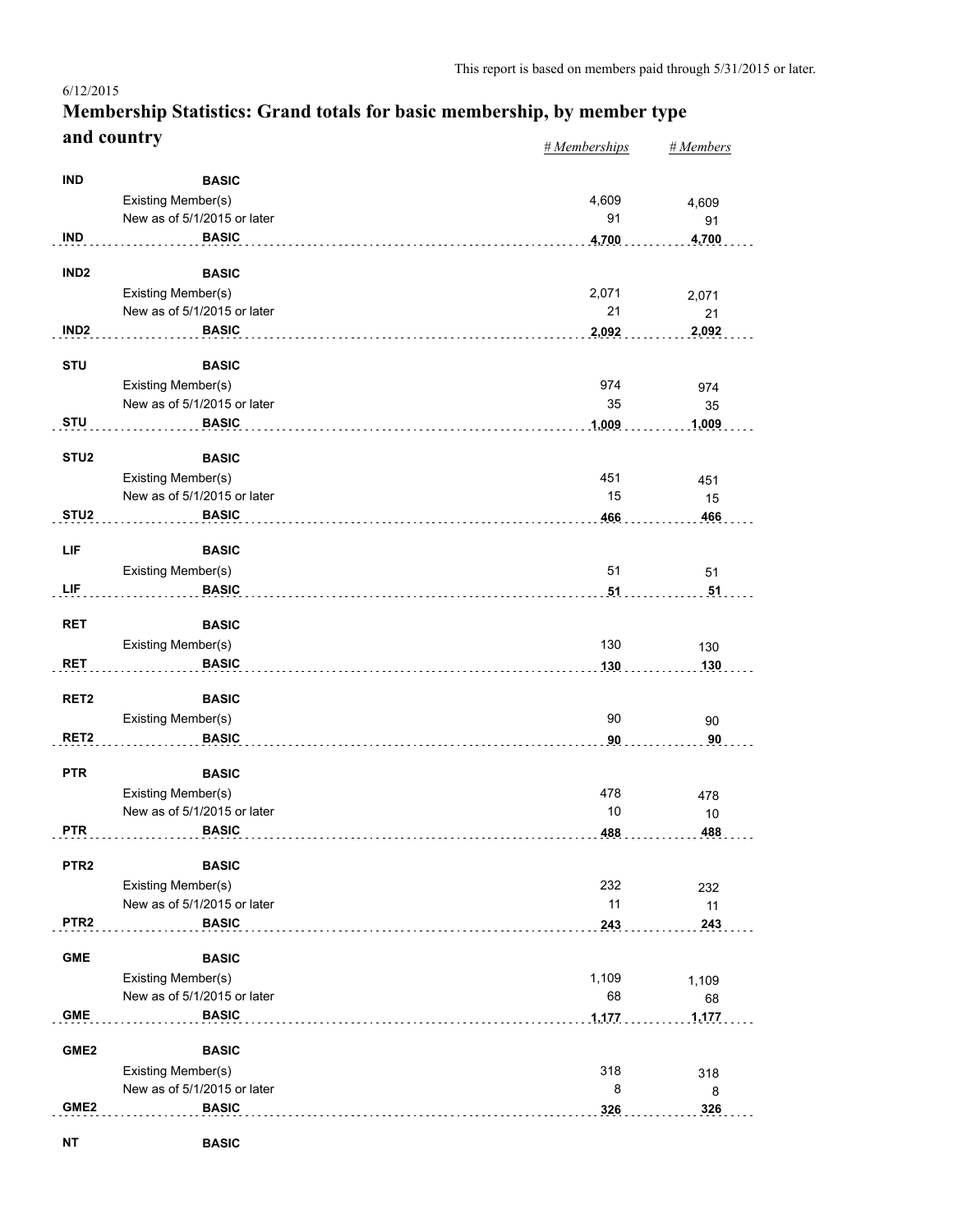#### *# Memberships # Members* **Membership Statistics: Grand totals for basic membership, by member type and country** 6/12/2015

|                  |                                                   | $\pi$ memoerships | $H$ <i>Mcmocro</i> |
|------------------|---------------------------------------------------|-------------------|--------------------|
| <b>IND</b>       | <b>BASIC</b>                                      |                   |                    |
|                  | Existing Member(s)                                | 4,609             | 4,609              |
|                  | New as of 5/1/2015 or later                       | 91                | 91                 |
| <b>IND</b>       | <b>BASIC</b>                                      | 4,700<br>.        | 4,700              |
|                  |                                                   |                   |                    |
| IND <sub>2</sub> | <b>BASIC</b>                                      |                   |                    |
|                  | Existing Member(s)                                | 2,071             | 2,071              |
|                  | New as of 5/1/2015 or later                       | 21                | 21                 |
| IND <sub>2</sub> | <b>BASIC</b>                                      | 2,092             | 2,092              |
| <b>STU</b>       | <b>BASIC</b>                                      |                   |                    |
|                  | Existing Member(s)                                | 974               | 974                |
|                  | New as of 5/1/2015 or later                       | 35                | 35                 |
| <b>STU</b>       | <b>BASIC</b>                                      | 1,009             | 1,009              |
|                  |                                                   |                   |                    |
| STU <sub>2</sub> | <b>BASIC</b><br>Existing Member(s)                | 451               |                    |
|                  | New as of 5/1/2015 or later                       | 15                | 451<br>15          |
| STU <sub>2</sub> | <b>BASIC</b>                                      | 466               | 466                |
|                  |                                                   |                   |                    |
| LIF              | <b>BASIC</b>                                      |                   |                    |
|                  | Existing Member(s)                                | 51                | 51                 |
| LIF              | <b>BASIC</b>                                      | 51                | 51                 |
| <b>RET</b>       | <b>BASIC</b>                                      |                   |                    |
|                  | Existing Member(s)                                | 130               |                    |
| <b>RET</b>       | <b>BASIC</b>                                      | 130               | 130<br>130         |
|                  |                                                   |                   |                    |
| RET <sub>2</sub> | <b>BASIC</b>                                      |                   |                    |
|                  | Existing Member(s)                                | 90                | 90                 |
| RET <sub>2</sub> | <b>BASIC</b>                                      | 90                | 90                 |
|                  |                                                   |                   |                    |
| <b>PTR</b>       | <b>BASIC</b>                                      |                   |                    |
|                  | Existing Member(s)<br>New as of 5/1/2015 or later | 478<br>10         | 478                |
| <b>PTR</b>       | <b>BASIC</b>                                      | 488               | 10<br>488          |
|                  |                                                   |                   |                    |
| PTR <sub>2</sub> | <b>BASIC</b>                                      |                   |                    |
|                  | Existing Member(s)                                | 232               | 232                |
|                  | New as of 5/1/2015 or later                       | 11                | 11                 |
| PTR <sub>2</sub> | <b>BASIC</b>                                      | 243               | 243                |
| <b>GME</b>       | <b>BASIC</b>                                      |                   |                    |
|                  | Existing Member(s)                                | 1,109             | 1,109              |
|                  | New as of 5/1/2015 or later                       | 68                | 68                 |
| <b>GME</b>       | <b>BASIC</b>                                      | 1,177             | 1,177              |
|                  |                                                   |                   |                    |
| GME <sub>2</sub> | <b>BASIC</b>                                      |                   |                    |
|                  | Existing Member(s)                                | 318               | 318                |
|                  | New as of 5/1/2015 or later                       | 8                 | 8                  |
| GME <sub>2</sub> | <b>BASIC</b>                                      | 326               | 326                |
| <b>NT</b>        | <b>BASIC</b>                                      |                   |                    |
|                  |                                                   |                   |                    |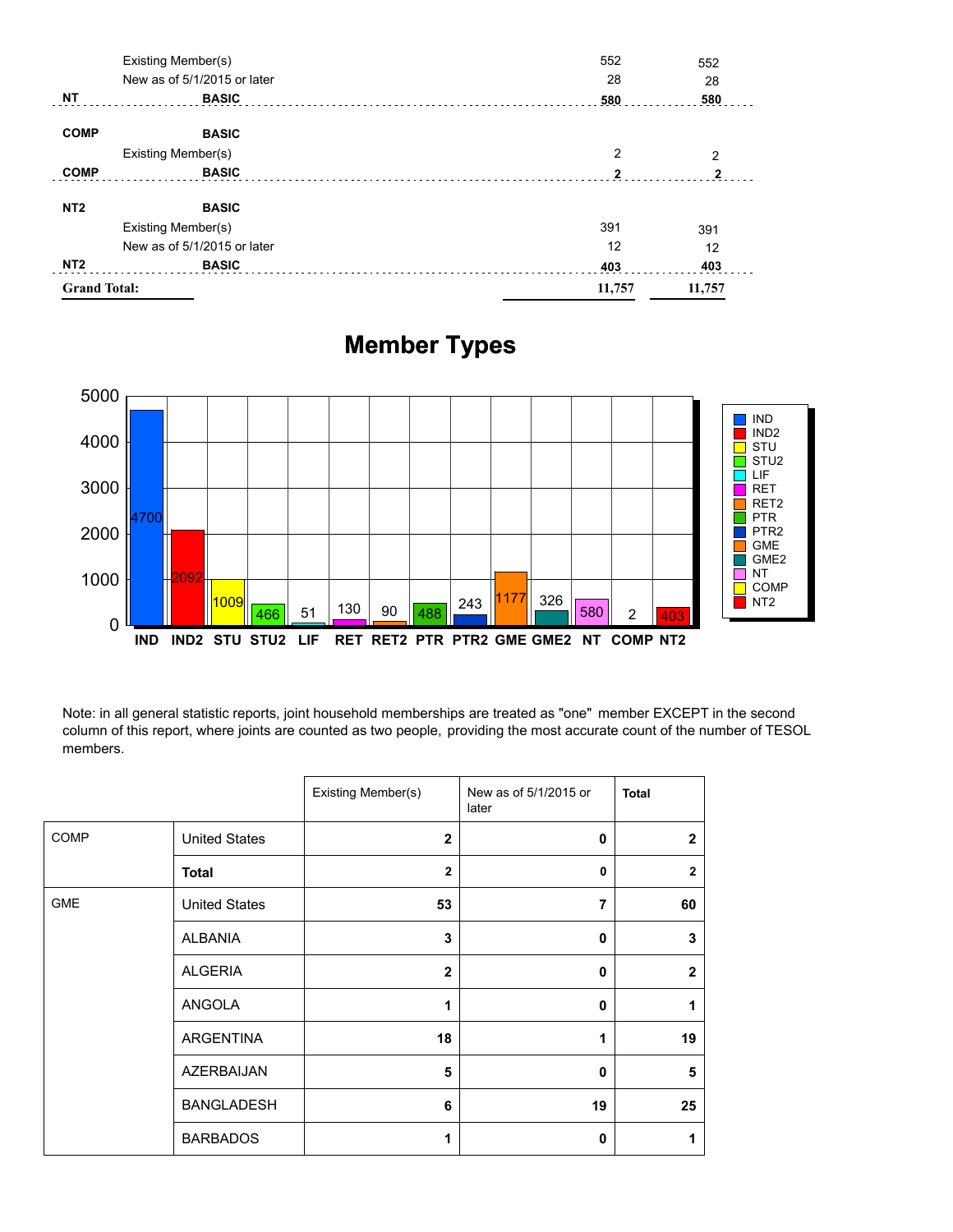| <b>Grand Total:</b> |                             | 11,757         | 11,757       |
|---------------------|-----------------------------|----------------|--------------|
| NT <sub>2</sub>     | <b>BASIC</b>                | 403            | 403          |
|                     | New as of 5/1/2015 or later | 12             | 12           |
| Existing Member(s)  |                             | 391            | 391          |
| NT <sub>2</sub>     | <b>BASIC</b>                |                |              |
| <b>COMP</b>         | <b>BASIC</b>                | $\mathfrak{p}$ | $\mathbf{2}$ |
|                     | Existing Member(s)          | 2              | 2            |
| <b>COMP</b>         | <b>BASIC</b>                |                |              |
| <b>NT</b>           | <b>BASIC</b>                | 580            | 580          |
|                     | New as of 5/1/2015 or later | 28             | 28           |
|                     | Existing Member(s)          | 552            | 552          |

# **Member Types**



Note: in all general statistic reports, joint household memberships are treated as "one" member EXCEPT in the second column of this report, where joints are counted as two people, providing the most accurate count of the number of TESOL members.

|            |                      | Existing Member(s) | New as of 5/1/2015 or<br>later | <b>Total</b>   |
|------------|----------------------|--------------------|--------------------------------|----------------|
| COMP       | <b>United States</b> | $\mathbf{2}$       | $\mathbf 0$                    | $\overline{2}$ |
|            | <b>Total</b>         | $\overline{2}$     | $\mathbf 0$                    | $\overline{2}$ |
| <b>GME</b> | <b>United States</b> | 53                 | $\overline{7}$                 | 60             |
|            | <b>ALBANIA</b>       | 3                  | $\mathbf 0$                    | 3              |
|            | <b>ALGERIA</b>       | $\mathbf{2}$       | $\mathbf 0$                    | $\overline{2}$ |
|            | ANGOLA               | 1                  | 0                              | 1              |
|            | ARGENTINA            | 18                 | 1                              | 19             |
|            | AZERBAIJAN           | 5                  | $\mathbf 0$                    | 5              |
|            | <b>BANGLADESH</b>    | 6                  | 19                             | 25             |
|            | <b>BARBADOS</b>      | 1                  | 0                              | 1              |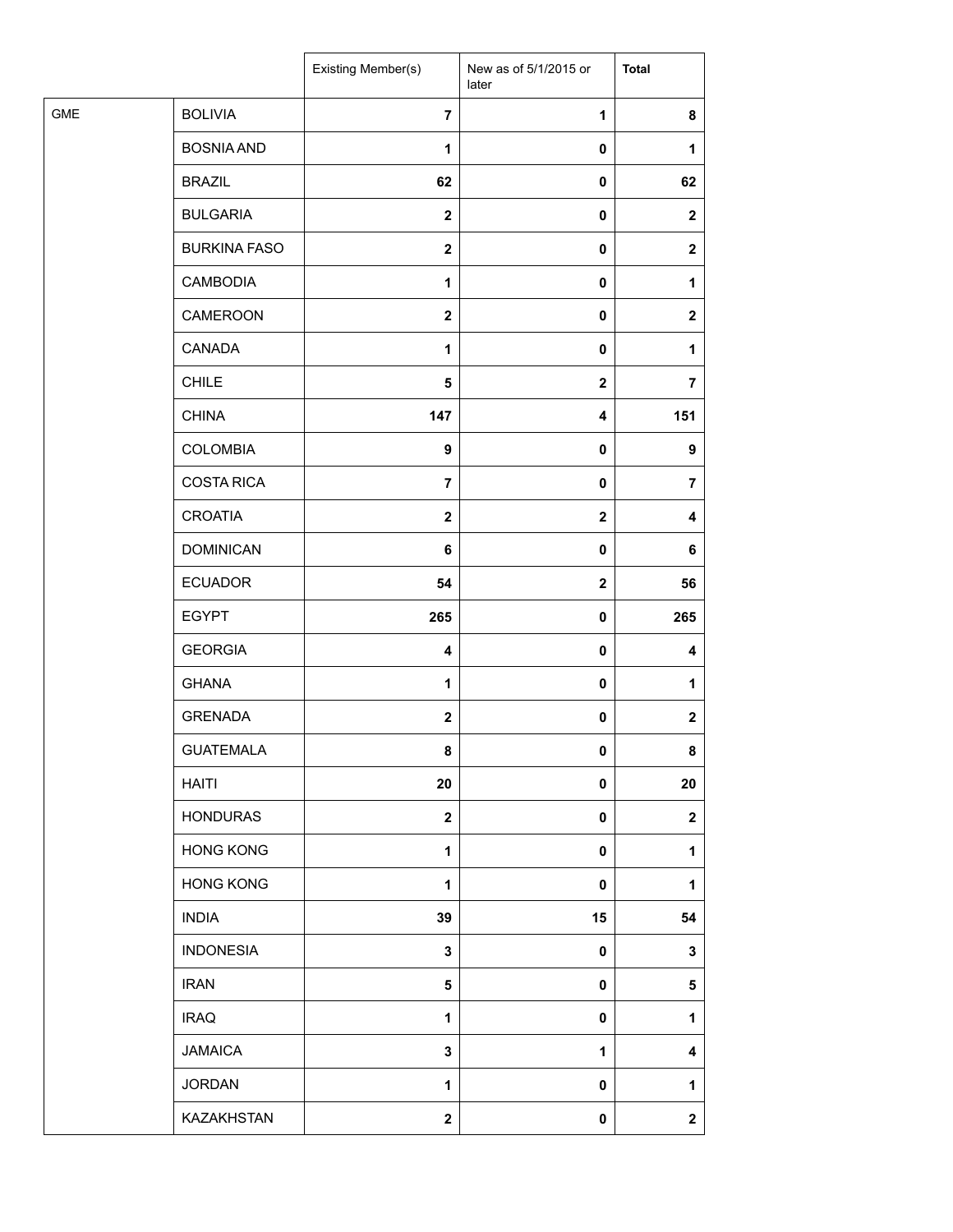|            |                     | Existing Member(s) | New as of 5/1/2015 or<br>later | <b>Total</b>   |
|------------|---------------------|--------------------|--------------------------------|----------------|
| <b>GME</b> | <b>BOLIVIA</b>      | $\overline{7}$     | 1                              | 8              |
|            | <b>BOSNIA AND</b>   | $\mathbf{1}$       | $\pmb{0}$                      | $\mathbf{1}$   |
|            | <b>BRAZIL</b>       | 62                 | 0                              | 62             |
|            | <b>BULGARIA</b>     | $\mathbf{2}$       | 0                              | $\mathbf{2}$   |
|            | <b>BURKINA FASO</b> | $\boldsymbol{2}$   | 0                              | $\mathbf{2}$   |
|            | <b>CAMBODIA</b>     | 1                  | 0                              | $\mathbf{1}$   |
|            | CAMEROON            | $\mathbf 2$        | $\pmb{0}$                      | $\mathbf{2}$   |
|            | CANADA              | 1                  | $\pmb{0}$                      | 1              |
|            | <b>CHILE</b>        | 5                  | $\mathbf 2$                    | $\overline{7}$ |
|            | <b>CHINA</b>        | 147                | 4                              | 151            |
|            | <b>COLOMBIA</b>     | 9                  | 0                              | 9              |
|            | <b>COSTA RICA</b>   | $\overline{7}$     | 0                              | $\overline{7}$ |
|            | <b>CROATIA</b>      | $\mathbf 2$        | $\mathbf 2$                    | 4              |
|            | <b>DOMINICAN</b>    | 6                  | 0                              | 6              |
|            | <b>ECUADOR</b>      | 54                 | $\mathbf 2$                    | 56             |
|            | <b>EGYPT</b>        | 265                | $\pmb{0}$                      | 265            |
|            | <b>GEORGIA</b>      | 4                  | 0                              | 4              |
|            | <b>GHANA</b>        | 1                  | 0                              | 1              |
|            | <b>GRENADA</b>      | $\mathbf 2$        | $\pmb{0}$                      | $\mathbf 2$    |
|            | <b>GUATEMALA</b>    | 8                  | $\pmb{0}$                      | 8              |
|            | <b>HAITI</b>        | 20                 | 0                              | 20             |
|            | <b>HONDURAS</b>     | $\mathbf 2$        | 0                              | $\mathbf 2$    |
|            | <b>HONG KONG</b>    | 1                  | 0                              | 1              |
|            | <b>HONG KONG</b>    | $\mathbf{1}$       | 0                              | 1              |
|            | <b>INDIA</b>        | 39                 | 15                             | 54             |
|            | <b>INDONESIA</b>    | 3                  | 0                              | 3              |
|            | <b>IRAN</b>         | 5                  | 0                              | 5              |
|            | <b>IRAQ</b>         | $\mathbf{1}$       | 0                              | 1              |
|            | <b>JAMAICA</b>      | 3                  | 1                              | 4              |
|            | <b>JORDAN</b>       | 1                  | 0                              | 1              |
|            | KAZAKHSTAN          | $\mathbf 2$        | 0                              | $\mathbf 2$    |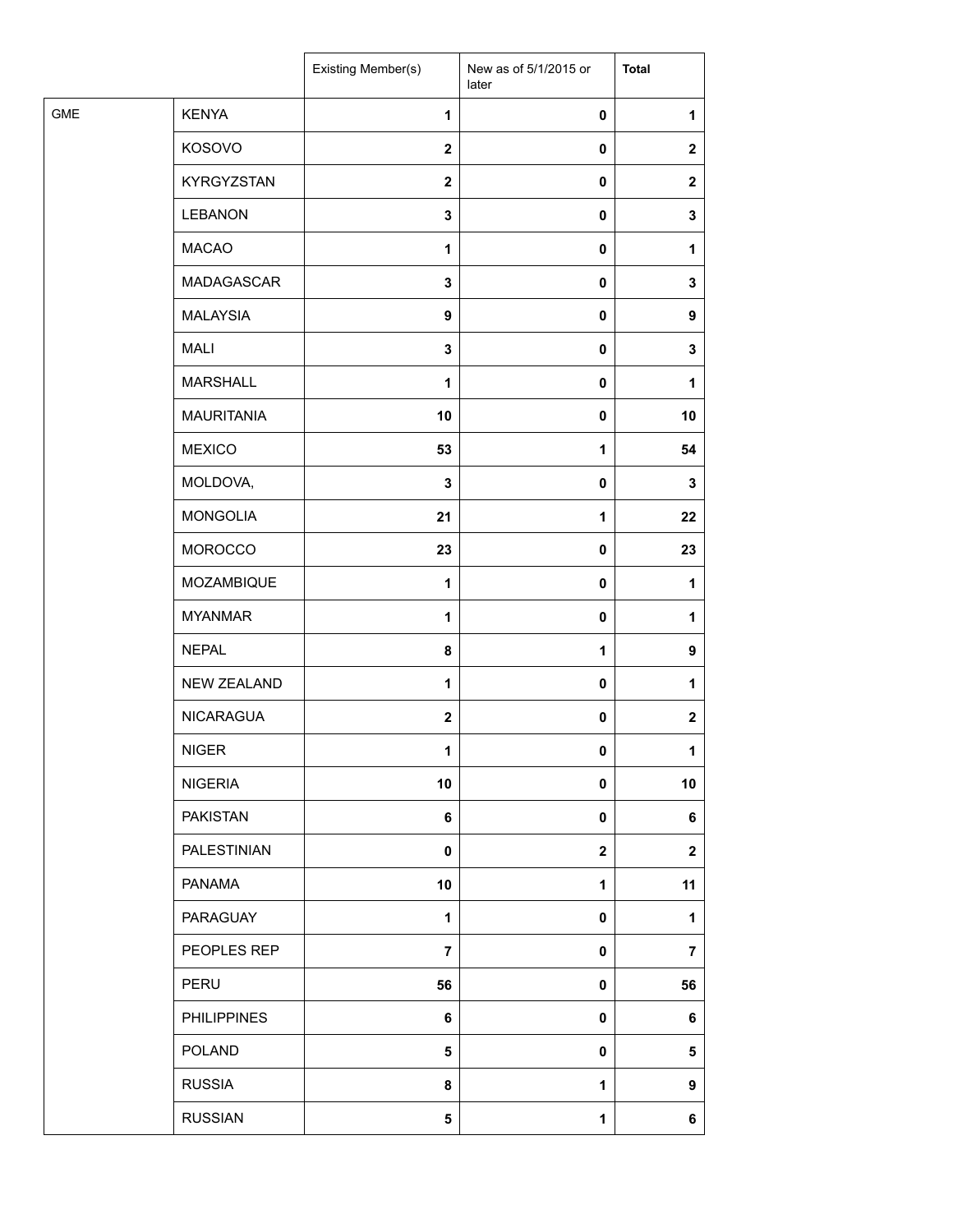|            |                    | Existing Member(s) | New as of 5/1/2015 or<br>later | <b>Total</b>   |
|------------|--------------------|--------------------|--------------------------------|----------------|
| <b>GME</b> | <b>KENYA</b>       | 1                  | $\pmb{0}$                      | 1              |
|            | KOSOVO             | $\boldsymbol{2}$   | $\pmb{0}$                      | $\mathbf{2}$   |
|            | KYRGYZSTAN         | $\mathbf 2$        | $\pmb{0}$                      | $\mathbf{2}$   |
|            | <b>LEBANON</b>     | $\mathbf 3$        | $\pmb{0}$                      | 3              |
|            | <b>MACAO</b>       | $\mathbf{1}$       | $\pmb{0}$                      | 1              |
|            | MADAGASCAR         | 3                  | $\pmb{0}$                      | 3              |
|            | <b>MALAYSIA</b>    | $\boldsymbol{9}$   | $\pmb{0}$                      | 9              |
|            | <b>MALI</b>        | $\mathbf 3$        | $\pmb{0}$                      | 3              |
|            | <b>MARSHALL</b>    | 1                  | $\pmb{0}$                      | 1              |
|            | <b>MAURITANIA</b>  | 10                 | 0                              | 10             |
|            | <b>MEXICO</b>      | 53                 | $\mathbf{1}$                   | 54             |
|            | MOLDOVA,           | $\mathbf 3$        | $\pmb{0}$                      | 3              |
|            | <b>MONGOLIA</b>    | 21                 | $\mathbf{1}$                   | 22             |
|            | <b>MOROCCO</b>     | 23                 | $\pmb{0}$                      | 23             |
|            | MOZAMBIQUE         | 1                  | $\pmb{0}$                      | 1              |
|            | <b>MYANMAR</b>     | 1                  | $\pmb{0}$                      | 1              |
|            | <b>NEPAL</b>       | 8                  | $\mathbf{1}$                   | 9              |
|            | <b>NEW ZEALAND</b> | $\mathbf{1}$       | $\pmb{0}$                      | 1              |
|            | <b>NICARAGUA</b>   | $\mathbf{2}$       | $\pmb{0}$                      | $\mathbf{2}$   |
|            | <b>NIGER</b>       | 1                  | $\pmb{0}$                      | 1              |
|            | <b>NIGERIA</b>     | 10                 | $\pmb{0}$                      | 10             |
|            | <b>PAKISTAN</b>    | $\bf 6$            | $\pmb{0}$                      | 6              |
|            | PALESTINIAN        | 0                  | $\boldsymbol{2}$               | $\mathbf{2}$   |
|            | PANAMA             | 10                 | $\mathbf{1}$                   | 11             |
|            | PARAGUAY           | 1                  | $\mathbf 0$                    | 1              |
|            | PEOPLES REP        | $\overline{7}$     | $\pmb{0}$                      | $\overline{7}$ |
|            | PERU               | 56                 | $\mathbf 0$                    | 56             |
|            | <b>PHILIPPINES</b> | $\bf 6$            | $\pmb{0}$                      | 6              |
|            | <b>POLAND</b>      | ${\bf 5}$          | $\pmb{0}$                      | 5              |
|            | <b>RUSSIA</b>      | 8                  | $\mathbf 1$                    | 9              |
|            | <b>RUSSIAN</b>     | 5                  | $\mathbf 1$                    | 6              |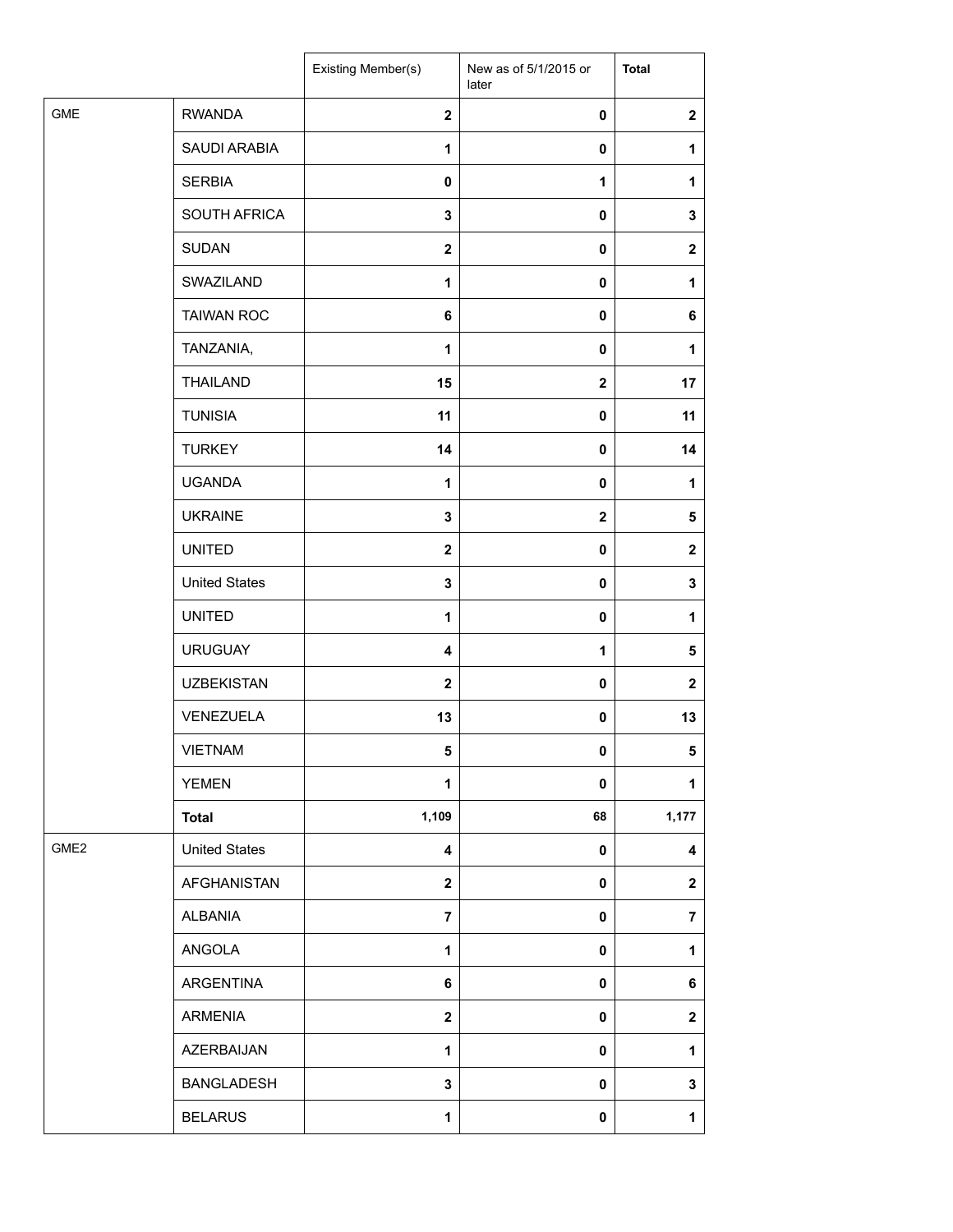|                  |                      | Existing Member(s)      | New as of 5/1/2015 or<br>later | <b>Total</b>     |
|------------------|----------------------|-------------------------|--------------------------------|------------------|
| <b>GME</b>       | <b>RWANDA</b>        | $\mathbf{2}$            | $\pmb{0}$                      | $\mathbf 2$      |
|                  | SAUDI ARABIA         | 1                       | $\mathbf 0$                    | 1                |
|                  | <b>SERBIA</b>        | $\mathbf 0$             | $\mathbf{1}$                   | 1                |
|                  | SOUTH AFRICA         | 3                       | 0                              | 3                |
|                  | <b>SUDAN</b>         | $\mathbf{2}$            | 0                              | $\mathbf{2}$     |
|                  | SWAZILAND            | $\mathbf{1}$            | $\pmb{0}$                      | 1                |
|                  | <b>TAIWAN ROC</b>    | 6                       | $\pmb{0}$                      | 6                |
|                  | TANZANIA,            | 1                       | 0                              | 1                |
|                  | <b>THAILAND</b>      | 15                      | $\mathbf 2$                    | 17               |
|                  | <b>TUNISIA</b>       | 11                      | 0                              | 11               |
|                  | <b>TURKEY</b>        | 14                      | 0                              | 14               |
|                  | <b>UGANDA</b>        | $\mathbf{1}$            | $\pmb{0}$                      | $\mathbf 1$      |
|                  | <b>UKRAINE</b>       | $\mathbf 3$             | $\mathbf 2$                    | 5                |
|                  | <b>UNITED</b>        | $\boldsymbol{2}$        | 0                              | $\mathbf{2}$     |
|                  | <b>United States</b> | 3                       | 0                              | 3                |
|                  | <b>UNITED</b>        | 1                       | 0                              | 1                |
|                  | <b>URUGUAY</b>       | $\overline{\mathbf{4}}$ | $\mathbf 1$                    | 5                |
|                  | <b>UZBEKISTAN</b>    | $\mathbf{2}$            | $\pmb{0}$                      | $\boldsymbol{2}$ |
|                  | VENEZUELA            | 13                      | $\mathbf 0$                    | 13               |
|                  | <b>VIETNAM</b>       | 5                       | 0                              | $\sqrt{5}$       |
|                  | <b>YEMEN</b>         | 1                       | 0                              | 1                |
|                  | <b>Total</b>         | 1,109                   | 68                             | 1,177            |
| GME <sub>2</sub> | <b>United States</b> | 4                       | 0                              | 4                |
|                  | AFGHANISTAN          | $\mathbf{2}$            | 0                              | $\mathbf 2$      |
|                  | <b>ALBANIA</b>       | $\overline{7}$          | 0                              | $\overline{7}$   |
|                  | ANGOLA               | 1                       | 0                              | 1                |
|                  | ARGENTINA            | 6                       | 0                              | 6                |
|                  | <b>ARMENIA</b>       | $\mathbf{2}$            | 0                              | $\mathbf 2$      |
|                  | AZERBAIJAN           | $\mathbf{1}$            | 0                              | $\mathbf{1}$     |
|                  | <b>BANGLADESH</b>    | 3                       | 0                              | 3                |
|                  | <b>BELARUS</b>       | 1                       | $\pmb{0}$                      | $\mathbf 1$      |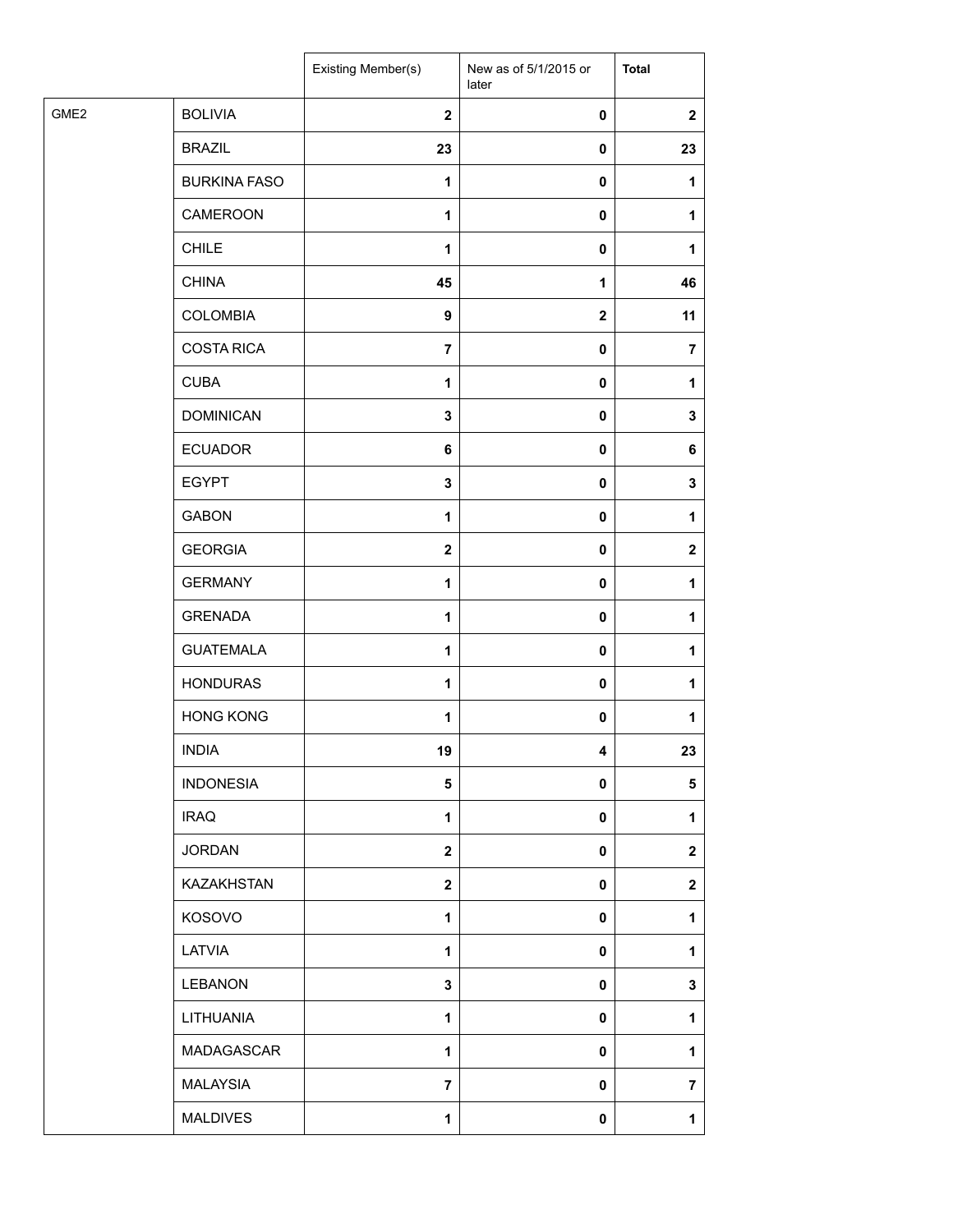|                  |                     | Existing Member(s) | New as of 5/1/2015 or<br>later | <b>Total</b>   |
|------------------|---------------------|--------------------|--------------------------------|----------------|
| GME <sub>2</sub> | <b>BOLIVIA</b>      | $\mathbf{2}$       | $\pmb{0}$                      | $\mathbf{2}$   |
|                  | <b>BRAZIL</b>       | 23                 | $\pmb{0}$                      | 23             |
|                  | <b>BURKINA FASO</b> | $\mathbf 1$        | 0                              | 1              |
|                  | CAMEROON            | $\mathbf 1$        | 0                              | 1              |
|                  | <b>CHILE</b>        | $\mathbf{1}$       | 0                              | 1              |
|                  | <b>CHINA</b>        | 45                 | $\mathbf{1}$                   | 46             |
|                  | <b>COLOMBIA</b>     | $\boldsymbol{9}$   | $\mathbf{2}$                   | 11             |
|                  | <b>COSTA RICA</b>   | $\overline{7}$     | $\pmb{0}$                      | $\overline{7}$ |
|                  | <b>CUBA</b>         | $\mathbf 1$        | 0                              | 1              |
|                  | <b>DOMINICAN</b>    | $\mathbf 3$        | 0                              | 3              |
|                  | <b>ECUADOR</b>      | 6                  | 0                              | 6              |
|                  | <b>EGYPT</b>        | $\mathbf 3$        | 0                              | 3              |
|                  | <b>GABON</b>        | $\mathbf{1}$       | $\pmb{0}$                      | 1              |
|                  | <b>GEORGIA</b>      | $\boldsymbol{2}$   | 0                              | $\mathbf{2}$   |
|                  | <b>GERMANY</b>      | $\mathbf{1}$       | 0                              | 1              |
|                  | <b>GRENADA</b>      | $\mathbf 1$        | 0                              | 1              |
|                  | <b>GUATEMALA</b>    | $\mathbf{1}$       | 0                              | 1              |
|                  | <b>HONDURAS</b>     | $\mathbf 1$        | 0                              | 1              |
|                  | <b>HONG KONG</b>    | $\mathbf 1$        | 0                              | 1              |
|                  | <b>INDIA</b>        | 19                 | 4                              | 23             |
|                  | <b>INDONESIA</b>    | 5                  | 0                              | 5              |
|                  | <b>IRAQ</b>         | $\mathbf{1}$       | 0                              | 1              |
|                  | <b>JORDAN</b>       | $\boldsymbol{2}$   | $\mathbf 0$                    | $\mathbf{2}$   |
|                  | KAZAKHSTAN          | $\mathbf 2$        | 0                              | $\mathbf{2}$   |
|                  | KOSOVO              | $\mathbf{1}$       | 0                              | 1              |
|                  | LATVIA              | $\mathbf{1}$       | 0                              | 1              |
|                  | <b>LEBANON</b>      | 3                  | 0                              | 3              |
|                  | LITHUANIA           | $\mathbf{1}$       | 0                              | 1              |
|                  | MADAGASCAR          | $\mathbf{1}$       | 0                              | 1              |
|                  | <b>MALAYSIA</b>     | $\overline{7}$     | 0                              | $\overline{7}$ |
|                  | <b>MALDIVES</b>     | $\mathbf{1}$       | $\pmb{0}$                      | $\mathbf{1}$   |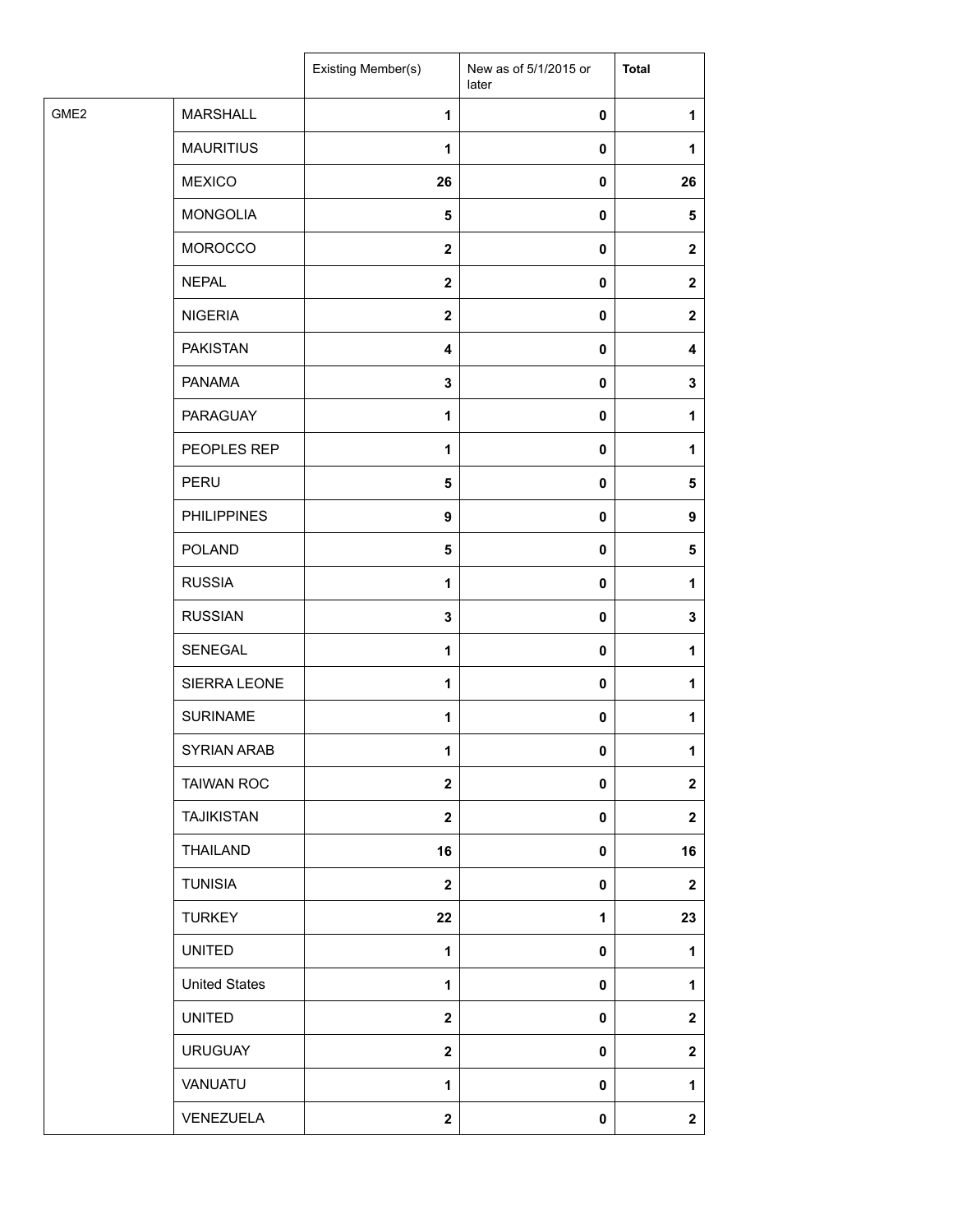| <b>MARSHALL</b><br>1<br>0<br>1<br><b>MAURITIUS</b><br>$\mathbf{1}$<br>0<br>1<br><b>MEXICO</b><br>26<br>0<br>26<br><b>MONGOLIA</b><br>$\overline{\mathbf{5}}$<br>0<br>$\sqrt{5}$<br><b>MOROCCO</b><br>$\mathbf{2}$<br>0<br>$\mathbf 2$<br><b>NEPAL</b><br>$\mathbf 2$<br>0<br>$\mathbf{2}$<br><b>NIGERIA</b><br>$\mathbf{2}$<br>0<br>$\mathbf{2}$<br><b>PAKISTAN</b><br>$\overline{\mathbf{4}}$<br>0<br>4<br><b>PANAMA</b><br>$\mathbf 3$<br>0<br>3<br>PARAGUAY<br>1<br>0<br>1<br>PEOPLES REP<br>1<br>0<br>1<br>PERU<br>5<br>0<br>5<br><b>PHILIPPINES</b><br>9<br>0<br>9<br><b>POLAND</b><br>5<br>0<br>5<br><b>RUSSIA</b><br>1<br>0<br>1<br><b>RUSSIAN</b><br>$\mathbf 3$<br>0<br>3<br>SENEGAL<br>$\mathbf{1}$<br>0<br>1<br>SIERRA LEONE<br>1<br>0<br>1<br><b>SURINAME</b><br>$\mathbf{1}$<br>$\pmb{0}$<br>1<br>SYRIAN ARAB<br>1<br>$\mathbf{0}$<br>1<br><b>TAIWAN ROC</b><br>$\mathbf{2}$<br>$\pmb{0}$<br>$\mathbf 2$<br><b>TAJIKISTAN</b><br>$\mathbf{2}$<br>0<br>$\mathbf 2$<br>THAILAND<br>16<br>0<br>16<br><b>TUNISIA</b><br>$\mathbf{2}$<br>0<br>$\mathbf 2$<br><b>TURKEY</b><br>22<br>23<br>1<br><b>UNITED</b><br>$\mathbf{1}$<br>1<br>0<br><b>United States</b><br>$\mathbf{1}$<br>0<br>1<br><b>UNITED</b><br>$\mathbf{2}$<br>0<br>$\mathbf 2$<br><b>URUGUAY</b><br>$\mathbf{2}$<br>0<br>$\mathbf 2$<br>VANUATU<br>1<br>0<br>1<br>VENEZUELA<br>$\mathbf 2$<br>0<br>$\mathbf{2}$ |                  | Existing Member(s) | New as of 5/1/2015 or<br>later | <b>Total</b> |
|----------------------------------------------------------------------------------------------------------------------------------------------------------------------------------------------------------------------------------------------------------------------------------------------------------------------------------------------------------------------------------------------------------------------------------------------------------------------------------------------------------------------------------------------------------------------------------------------------------------------------------------------------------------------------------------------------------------------------------------------------------------------------------------------------------------------------------------------------------------------------------------------------------------------------------------------------------------------------------------------------------------------------------------------------------------------------------------------------------------------------------------------------------------------------------------------------------------------------------------------------------------------------------------------------------------------------------------------------------------------------------------|------------------|--------------------|--------------------------------|--------------|
|                                                                                                                                                                                                                                                                                                                                                                                                                                                                                                                                                                                                                                                                                                                                                                                                                                                                                                                                                                                                                                                                                                                                                                                                                                                                                                                                                                                        | GME <sub>2</sub> |                    |                                |              |
|                                                                                                                                                                                                                                                                                                                                                                                                                                                                                                                                                                                                                                                                                                                                                                                                                                                                                                                                                                                                                                                                                                                                                                                                                                                                                                                                                                                        |                  |                    |                                |              |
|                                                                                                                                                                                                                                                                                                                                                                                                                                                                                                                                                                                                                                                                                                                                                                                                                                                                                                                                                                                                                                                                                                                                                                                                                                                                                                                                                                                        |                  |                    |                                |              |
|                                                                                                                                                                                                                                                                                                                                                                                                                                                                                                                                                                                                                                                                                                                                                                                                                                                                                                                                                                                                                                                                                                                                                                                                                                                                                                                                                                                        |                  |                    |                                |              |
|                                                                                                                                                                                                                                                                                                                                                                                                                                                                                                                                                                                                                                                                                                                                                                                                                                                                                                                                                                                                                                                                                                                                                                                                                                                                                                                                                                                        |                  |                    |                                |              |
|                                                                                                                                                                                                                                                                                                                                                                                                                                                                                                                                                                                                                                                                                                                                                                                                                                                                                                                                                                                                                                                                                                                                                                                                                                                                                                                                                                                        |                  |                    |                                |              |
|                                                                                                                                                                                                                                                                                                                                                                                                                                                                                                                                                                                                                                                                                                                                                                                                                                                                                                                                                                                                                                                                                                                                                                                                                                                                                                                                                                                        |                  |                    |                                |              |
|                                                                                                                                                                                                                                                                                                                                                                                                                                                                                                                                                                                                                                                                                                                                                                                                                                                                                                                                                                                                                                                                                                                                                                                                                                                                                                                                                                                        |                  |                    |                                |              |
|                                                                                                                                                                                                                                                                                                                                                                                                                                                                                                                                                                                                                                                                                                                                                                                                                                                                                                                                                                                                                                                                                                                                                                                                                                                                                                                                                                                        |                  |                    |                                |              |
|                                                                                                                                                                                                                                                                                                                                                                                                                                                                                                                                                                                                                                                                                                                                                                                                                                                                                                                                                                                                                                                                                                                                                                                                                                                                                                                                                                                        |                  |                    |                                |              |
|                                                                                                                                                                                                                                                                                                                                                                                                                                                                                                                                                                                                                                                                                                                                                                                                                                                                                                                                                                                                                                                                                                                                                                                                                                                                                                                                                                                        |                  |                    |                                |              |
|                                                                                                                                                                                                                                                                                                                                                                                                                                                                                                                                                                                                                                                                                                                                                                                                                                                                                                                                                                                                                                                                                                                                                                                                                                                                                                                                                                                        |                  |                    |                                |              |
|                                                                                                                                                                                                                                                                                                                                                                                                                                                                                                                                                                                                                                                                                                                                                                                                                                                                                                                                                                                                                                                                                                                                                                                                                                                                                                                                                                                        |                  |                    |                                |              |
|                                                                                                                                                                                                                                                                                                                                                                                                                                                                                                                                                                                                                                                                                                                                                                                                                                                                                                                                                                                                                                                                                                                                                                                                                                                                                                                                                                                        |                  |                    |                                |              |
|                                                                                                                                                                                                                                                                                                                                                                                                                                                                                                                                                                                                                                                                                                                                                                                                                                                                                                                                                                                                                                                                                                                                                                                                                                                                                                                                                                                        |                  |                    |                                |              |
|                                                                                                                                                                                                                                                                                                                                                                                                                                                                                                                                                                                                                                                                                                                                                                                                                                                                                                                                                                                                                                                                                                                                                                                                                                                                                                                                                                                        |                  |                    |                                |              |
|                                                                                                                                                                                                                                                                                                                                                                                                                                                                                                                                                                                                                                                                                                                                                                                                                                                                                                                                                                                                                                                                                                                                                                                                                                                                                                                                                                                        |                  |                    |                                |              |
|                                                                                                                                                                                                                                                                                                                                                                                                                                                                                                                                                                                                                                                                                                                                                                                                                                                                                                                                                                                                                                                                                                                                                                                                                                                                                                                                                                                        |                  |                    |                                |              |
|                                                                                                                                                                                                                                                                                                                                                                                                                                                                                                                                                                                                                                                                                                                                                                                                                                                                                                                                                                                                                                                                                                                                                                                                                                                                                                                                                                                        |                  |                    |                                |              |
|                                                                                                                                                                                                                                                                                                                                                                                                                                                                                                                                                                                                                                                                                                                                                                                                                                                                                                                                                                                                                                                                                                                                                                                                                                                                                                                                                                                        |                  |                    |                                |              |
|                                                                                                                                                                                                                                                                                                                                                                                                                                                                                                                                                                                                                                                                                                                                                                                                                                                                                                                                                                                                                                                                                                                                                                                                                                                                                                                                                                                        |                  |                    |                                |              |
|                                                                                                                                                                                                                                                                                                                                                                                                                                                                                                                                                                                                                                                                                                                                                                                                                                                                                                                                                                                                                                                                                                                                                                                                                                                                                                                                                                                        |                  |                    |                                |              |
|                                                                                                                                                                                                                                                                                                                                                                                                                                                                                                                                                                                                                                                                                                                                                                                                                                                                                                                                                                                                                                                                                                                                                                                                                                                                                                                                                                                        |                  |                    |                                |              |
|                                                                                                                                                                                                                                                                                                                                                                                                                                                                                                                                                                                                                                                                                                                                                                                                                                                                                                                                                                                                                                                                                                                                                                                                                                                                                                                                                                                        |                  |                    |                                |              |
|                                                                                                                                                                                                                                                                                                                                                                                                                                                                                                                                                                                                                                                                                                                                                                                                                                                                                                                                                                                                                                                                                                                                                                                                                                                                                                                                                                                        |                  |                    |                                |              |
|                                                                                                                                                                                                                                                                                                                                                                                                                                                                                                                                                                                                                                                                                                                                                                                                                                                                                                                                                                                                                                                                                                                                                                                                                                                                                                                                                                                        |                  |                    |                                |              |
|                                                                                                                                                                                                                                                                                                                                                                                                                                                                                                                                                                                                                                                                                                                                                                                                                                                                                                                                                                                                                                                                                                                                                                                                                                                                                                                                                                                        |                  |                    |                                |              |
|                                                                                                                                                                                                                                                                                                                                                                                                                                                                                                                                                                                                                                                                                                                                                                                                                                                                                                                                                                                                                                                                                                                                                                                                                                                                                                                                                                                        |                  |                    |                                |              |
|                                                                                                                                                                                                                                                                                                                                                                                                                                                                                                                                                                                                                                                                                                                                                                                                                                                                                                                                                                                                                                                                                                                                                                                                                                                                                                                                                                                        |                  |                    |                                |              |
|                                                                                                                                                                                                                                                                                                                                                                                                                                                                                                                                                                                                                                                                                                                                                                                                                                                                                                                                                                                                                                                                                                                                                                                                                                                                                                                                                                                        |                  |                    |                                |              |
|                                                                                                                                                                                                                                                                                                                                                                                                                                                                                                                                                                                                                                                                                                                                                                                                                                                                                                                                                                                                                                                                                                                                                                                                                                                                                                                                                                                        |                  |                    |                                |              |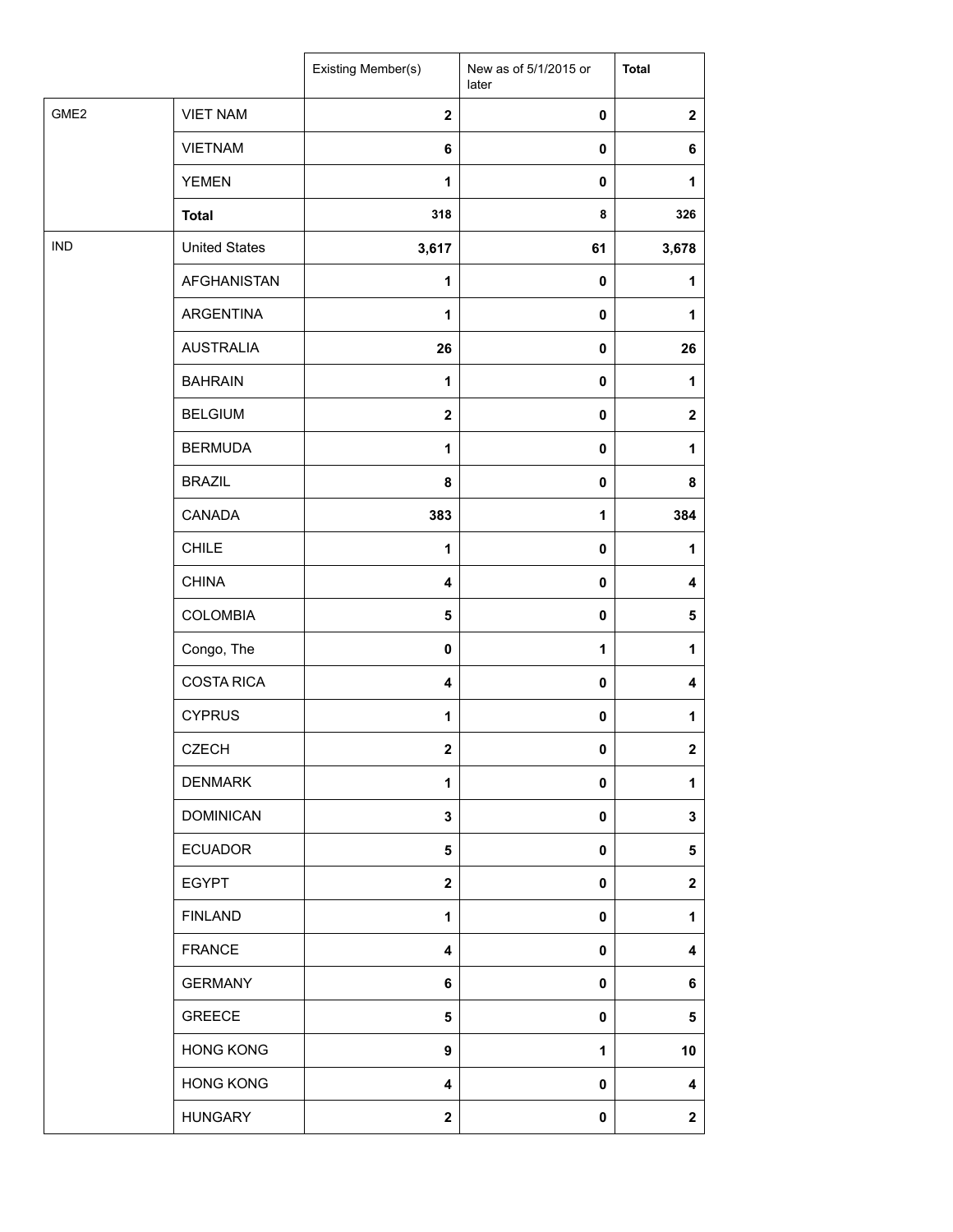|                  |                      | Existing Member(s)      | New as of 5/1/2015 or<br>later | <b>Total</b>            |
|------------------|----------------------|-------------------------|--------------------------------|-------------------------|
| GME <sub>2</sub> | <b>VIET NAM</b>      | $\overline{\mathbf{2}}$ | $\pmb{0}$                      | $\mathbf 2$             |
|                  | <b>VIETNAM</b>       | 6                       | $\pmb{0}$                      | 6                       |
|                  | <b>YEMEN</b>         | 1                       | $\pmb{0}$                      | 1                       |
|                  | <b>Total</b>         | 318                     | 8                              | 326                     |
| <b>IND</b>       | <b>United States</b> | 3,617                   | 61                             | 3,678                   |
|                  | <b>AFGHANISTAN</b>   | 1                       | $\pmb{0}$                      | 1                       |
|                  | ARGENTINA            | 1                       | 0                              | 1                       |
|                  | <b>AUSTRALIA</b>     | 26                      | 0                              | 26                      |
|                  | <b>BAHRAIN</b>       | $\mathbf{1}$            | $\pmb{0}$                      | 1                       |
|                  | <b>BELGIUM</b>       | $\overline{\mathbf{2}}$ | $\pmb{0}$                      | $\boldsymbol{2}$        |
|                  | <b>BERMUDA</b>       | $\mathbf{1}$            | $\pmb{0}$                      | 1                       |
|                  | <b>BRAZIL</b>        | 8                       | $\pmb{0}$                      | 8                       |
|                  | CANADA               | 383                     | 1                              | 384                     |
|                  | <b>CHILE</b>         | $\mathbf{1}$            | 0                              | 1                       |
|                  | <b>CHINA</b>         | 4                       | 0                              | 4                       |
|                  | <b>COLOMBIA</b>      | 5                       | $\pmb{0}$                      | 5                       |
|                  | Congo, The           | 0                       | $\mathbf{1}$                   | 1                       |
|                  | <b>COSTA RICA</b>    | 4                       | 0                              | 4                       |
|                  | <b>CYPRUS</b>        | 1                       | $\pmb{0}$                      | 1                       |
|                  | <b>CZECH</b>         | $\overline{\mathbf{2}}$ | $\pmb{0}$                      | $\overline{\mathbf{2}}$ |
|                  | <b>DENMARK</b>       | 1                       | $\pmb{0}$                      | 1                       |
|                  | <b>DOMINICAN</b>     | 3                       | 0                              | 3                       |
|                  | <b>ECUADOR</b>       | 5                       | 0                              | 5                       |
|                  | <b>EGYPT</b>         | $\overline{\mathbf{2}}$ | $\pmb{0}$                      | $\mathbf 2$             |
|                  | <b>FINLAND</b>       | 1                       | 0                              | 1                       |
|                  | <b>FRANCE</b>        | 4                       | 0                              | 4                       |
|                  | <b>GERMANY</b>       | 6                       | 0                              | 6                       |
|                  | <b>GREECE</b>        | 5                       | $\pmb{0}$                      | 5                       |
|                  | <b>HONG KONG</b>     | 9                       | 1                              | 10                      |
|                  | <b>HONG KONG</b>     | 4                       | 0                              | 4                       |
|                  | <b>HUNGARY</b>       | $\mathbf 2$             | $\pmb{0}$                      | $\mathbf 2$             |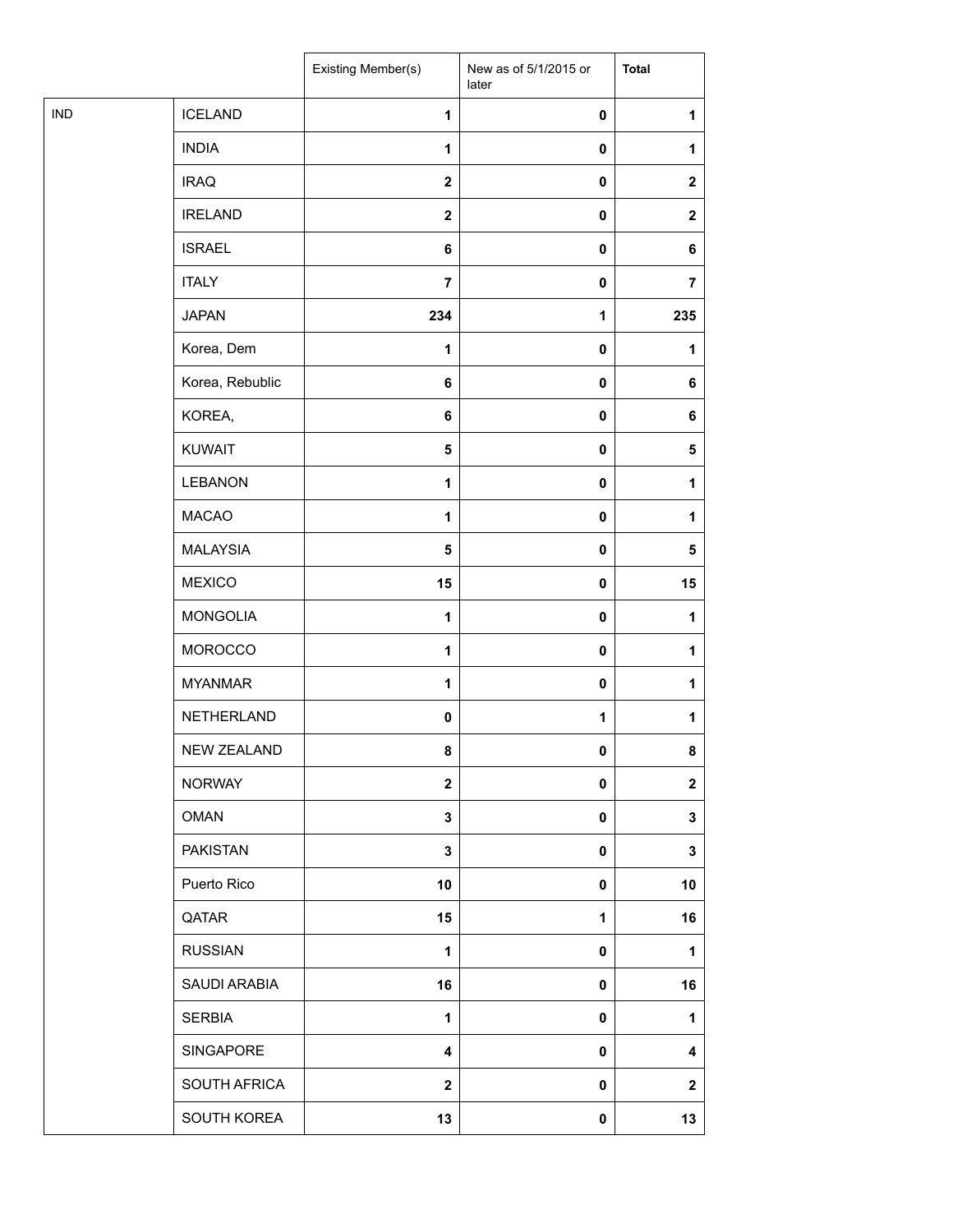|            |                    | Existing Member(s) | New as of 5/1/2015 or<br>later | <b>Total</b>   |
|------------|--------------------|--------------------|--------------------------------|----------------|
| <b>IND</b> | <b>ICELAND</b>     | $\mathbf{1}$       | $\pmb{0}$                      | 1              |
|            | <b>INDIA</b>       | 1                  | $\pmb{0}$                      | 1              |
|            | <b>IRAQ</b>        | $\mathbf{2}$       | $\pmb{0}$                      | $\mathbf{2}$   |
|            | <b>IRELAND</b>     | $\mathbf{2}$       | $\pmb{0}$                      | $\mathbf{2}$   |
|            | <b>ISRAEL</b>      | 6                  | $\pmb{0}$                      | 6              |
|            | <b>ITALY</b>       | $\overline{7}$     | $\pmb{0}$                      | $\overline{7}$ |
|            | <b>JAPAN</b>       | 234                | $\mathbf{1}$                   | 235            |
|            | Korea, Dem         | 1                  | $\pmb{0}$                      | 1              |
|            | Korea, Rebublic    | 6                  | $\pmb{0}$                      | 6              |
|            | KOREA,             | $\bf 6$            | $\pmb{0}$                      | 6              |
|            | <b>KUWAIT</b>      | 5                  | $\pmb{0}$                      | 5              |
|            | LEBANON            | $\mathbf{1}$       | $\pmb{0}$                      | 1              |
|            | <b>MACAO</b>       | $\mathbf{1}$       | $\pmb{0}$                      | 1              |
|            | <b>MALAYSIA</b>    | 5                  | $\pmb{0}$                      | 5              |
|            | <b>MEXICO</b>      | 15                 | $\pmb{0}$                      | 15             |
|            | <b>MONGOLIA</b>    | $\mathbf{1}$       | $\pmb{0}$                      | 1              |
|            | <b>MOROCCO</b>     | $\mathbf{1}$       | $\pmb{0}$                      | 1              |
|            | <b>MYANMAR</b>     | 1                  | $\pmb{0}$                      | 1              |
|            | NETHERLAND         | $\pmb{0}$          | $\mathbf{1}$                   | 1              |
|            | <b>NEW ZEALAND</b> | 8                  | $\mathbf{0}$                   | 8              |
|            | <b>NORWAY</b>      | $\mathbf 2$        | $\pmb{0}$                      | $\mathbf{2}$   |
|            | <b>OMAN</b>        | $\mathbf 3$        | $\pmb{0}$                      | 3              |
|            | <b>PAKISTAN</b>    | 3                  | $\pmb{0}$                      | 3              |
|            | Puerto Rico        | 10                 | $\pmb{0}$                      | 10             |
|            | QATAR              | 15                 | 1                              | 16             |
|            | <b>RUSSIAN</b>     | 1                  | 0                              | 1              |
|            | SAUDI ARABIA       | 16                 | $\pmb{0}$                      | 16             |
|            | <b>SERBIA</b>      | $\mathbf{1}$       | $\pmb{0}$                      | 1              |
|            | SINGAPORE          | 4                  | $\pmb{0}$                      | 4              |
|            | SOUTH AFRICA       | $\mathbf 2$        | $\pmb{0}$                      | $\mathbf{2}$   |
|            | SOUTH KOREA        | 13                 | $\pmb{0}$                      | 13             |
|            |                    |                    |                                |                |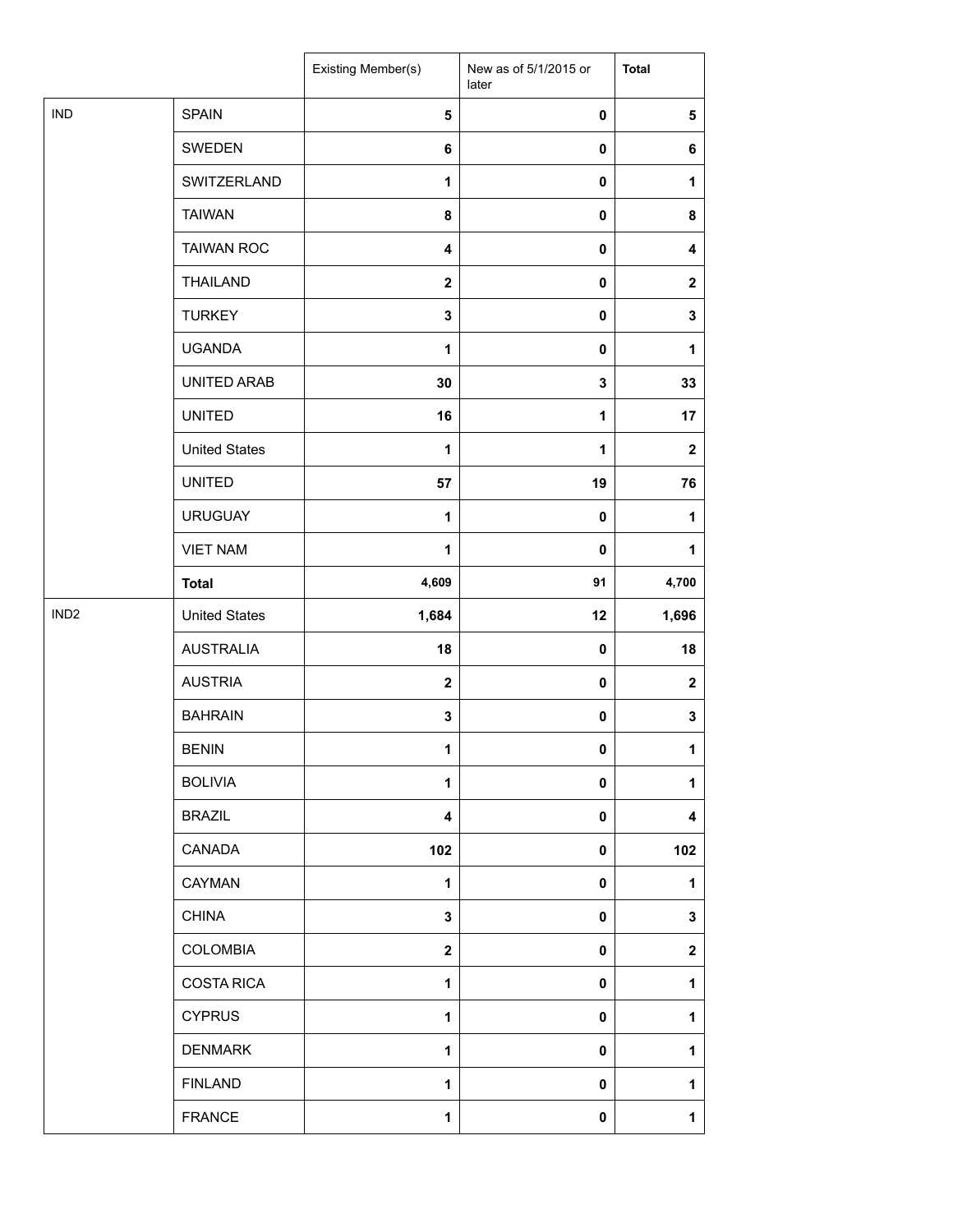|                  |                      | Existing Member(s)      | New as of 5/1/2015 or<br>later | <b>Total</b>            |
|------------------|----------------------|-------------------------|--------------------------------|-------------------------|
| <b>IND</b>       | <b>SPAIN</b>         | $\sqrt{5}$              | 0                              | 5                       |
|                  | SWEDEN               | 6                       | 0                              | 6                       |
|                  | SWITZERLAND          | 1                       | 0                              | 1                       |
|                  | <b>TAIWAN</b>        | 8                       | 0                              | 8                       |
|                  | <b>TAIWAN ROC</b>    | 4                       | 0                              | 4                       |
|                  | <b>THAILAND</b>      | $\mathbf{2}$            | 0                              | $\mathbf 2$             |
|                  | <b>TURKEY</b>        | 3                       | $\pmb{0}$                      | 3                       |
|                  | <b>UGANDA</b>        | 1                       | 0                              | 1                       |
|                  | UNITED ARAB          | 30                      | 3                              | 33                      |
|                  | <b>UNITED</b>        | 16                      | $\mathbf{1}$                   | 17                      |
|                  | <b>United States</b> | 1                       | 1                              | $\mathbf 2$             |
|                  | <b>UNITED</b>        | 57                      | 19                             | 76                      |
|                  | <b>URUGUAY</b>       | $\mathbf{1}$            | 0                              | 1                       |
|                  | <b>VIET NAM</b>      | 1                       | 0                              | 1                       |
|                  | <b>Total</b>         | 4,609                   | 91                             | 4,700                   |
| IND <sub>2</sub> | <b>United States</b> | 1,684                   | 12                             | 1,696                   |
|                  | <b>AUSTRALIA</b>     | 18                      | $\pmb{0}$                      | 18                      |
|                  | <b>AUSTRIA</b>       | $\mathbf{2}$            | 0                              | $\mathbf 2$             |
|                  | <b>BAHRAIN</b>       | 3                       | 0                              | 3                       |
|                  | <b>BENIN</b>         | 1                       | 0                              | $\mathbf{1}$            |
|                  | <b>BOLIVIA</b>       | 1                       | 0                              | 1                       |
|                  | <b>BRAZIL</b>        | $\overline{\mathbf{4}}$ | 0                              | $\overline{\mathbf{4}}$ |
|                  | CANADA               | 102                     | 0                              | 102                     |
|                  | CAYMAN               | 1                       | 0                              | 1                       |
|                  | <b>CHINA</b>         | 3                       | 0                              | 3                       |
|                  | <b>COLOMBIA</b>      | $\mathbf{2}$            | 0                              | $\mathbf 2$             |
|                  | <b>COSTA RICA</b>    | 1                       | 0                              | 1                       |
|                  | <b>CYPRUS</b>        | $\mathbf{1}$            | 0                              | 1                       |
|                  | <b>DENMARK</b>       | 1                       | 0                              | 1                       |
|                  | <b>FINLAND</b>       | 1                       | 0                              | 1                       |
|                  | <b>FRANCE</b>        | 1                       | 0                              | 1                       |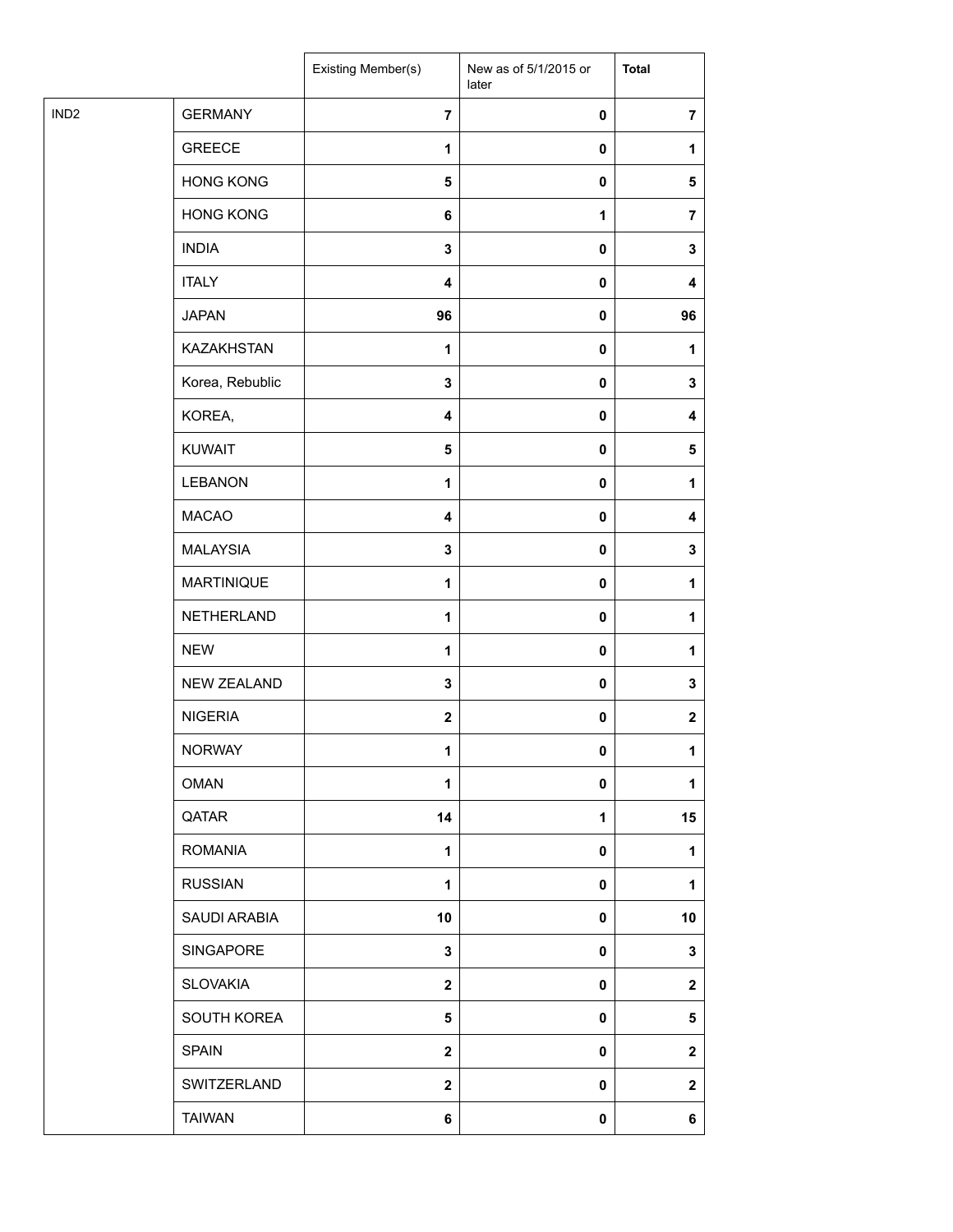| IND <sub>2</sub><br><b>GERMANY</b><br>$\overline{7}$<br>$\pmb{0}$<br>$\overline{7}$<br><b>GREECE</b><br>1<br>$\pmb{0}$<br>1<br><b>HONG KONG</b><br>${\bf 5}$<br>$\pmb{0}$<br>5<br><b>HONG KONG</b><br>6<br>1<br>$\overline{7}$<br><b>INDIA</b><br>3<br>$\pmb{0}$<br>3<br><b>ITALY</b><br>$\overline{\mathbf{4}}$<br>$\pmb{0}$<br>4<br><b>JAPAN</b><br>96<br>96<br>$\pmb{0}$<br><b>KAZAKHSTAN</b><br>1<br>$\pmb{0}$<br>1<br>Korea, Rebublic<br>$\mathbf 3$<br>$\pmb{0}$<br>3<br>KOREA,<br>$\overline{\mathbf{4}}$<br>$\pmb{0}$<br>4<br><b>KUWAIT</b><br>5<br>$\pmb{0}$<br>5<br><b>LEBANON</b><br>$\mathbf{1}$<br>$\pmb{0}$<br>1<br><b>MACAO</b><br>$\pmb{0}$<br>4<br>4<br><b>MALAYSIA</b><br>$\mathbf 3$<br>$\pmb{0}$<br>3<br>MARTINIQUE<br>1<br>$\pmb{0}$<br>1<br>NETHERLAND<br>$\mathbf{1}$<br>$\pmb{0}$<br>1<br><b>NEW</b><br>1<br>$\pmb{0}$<br>1<br><b>NEW ZEALAND</b><br>$\mathbf 3$<br>$\pmb{0}$<br>3<br><b>NIGERIA</b><br>$\mathbf{2}$<br>$\pmb{0}$<br>$\boldsymbol{2}$<br><b>NORWAY</b><br>1<br>$\mathbf{0}$<br>1<br><b>OMAN</b><br>1<br>$\pmb{0}$<br>1<br>QATAR<br>14<br>15<br>1<br><b>ROMANIA</b><br>$\mathbf{1}$<br>$\pmb{0}$<br>1<br><b>RUSSIAN</b><br>$\mathbf{1}$<br>$\pmb{0}$<br>1<br>SAUDI ARABIA<br>10<br>$\pmb{0}$<br>10<br>SINGAPORE<br>3<br>3<br>0<br><b>SLOVAKIA</b><br>$\mathbf 2$<br>$\pmb{0}$<br>$\mathbf 2$<br>SOUTH KOREA<br>5<br>$\pmb{0}$<br>$\sqrt{5}$<br><b>SPAIN</b><br>$\mathbf{2}$<br>$\pmb{0}$<br>$\mathbf{2}$<br>SWITZERLAND<br>$\boldsymbol{2}$<br>$\pmb{0}$<br>$\mathbf 2$<br><b>TAIWAN</b><br>6<br>$\pmb{0}$<br>6 |  | Existing Member(s) | New as of 5/1/2015 or<br>later | <b>Total</b> |
|--------------------------------------------------------------------------------------------------------------------------------------------------------------------------------------------------------------------------------------------------------------------------------------------------------------------------------------------------------------------------------------------------------------------------------------------------------------------------------------------------------------------------------------------------------------------------------------------------------------------------------------------------------------------------------------------------------------------------------------------------------------------------------------------------------------------------------------------------------------------------------------------------------------------------------------------------------------------------------------------------------------------------------------------------------------------------------------------------------------------------------------------------------------------------------------------------------------------------------------------------------------------------------------------------------------------------------------------------------------------------------------------------------------------------------------------------------------------------------------------------------------------------------------------------------|--|--------------------|--------------------------------|--------------|
|                                                                                                                                                                                                                                                                                                                                                                                                                                                                                                                                                                                                                                                                                                                                                                                                                                                                                                                                                                                                                                                                                                                                                                                                                                                                                                                                                                                                                                                                                                                                                        |  |                    |                                |              |
|                                                                                                                                                                                                                                                                                                                                                                                                                                                                                                                                                                                                                                                                                                                                                                                                                                                                                                                                                                                                                                                                                                                                                                                                                                                                                                                                                                                                                                                                                                                                                        |  |                    |                                |              |
|                                                                                                                                                                                                                                                                                                                                                                                                                                                                                                                                                                                                                                                                                                                                                                                                                                                                                                                                                                                                                                                                                                                                                                                                                                                                                                                                                                                                                                                                                                                                                        |  |                    |                                |              |
|                                                                                                                                                                                                                                                                                                                                                                                                                                                                                                                                                                                                                                                                                                                                                                                                                                                                                                                                                                                                                                                                                                                                                                                                                                                                                                                                                                                                                                                                                                                                                        |  |                    |                                |              |
|                                                                                                                                                                                                                                                                                                                                                                                                                                                                                                                                                                                                                                                                                                                                                                                                                                                                                                                                                                                                                                                                                                                                                                                                                                                                                                                                                                                                                                                                                                                                                        |  |                    |                                |              |
|                                                                                                                                                                                                                                                                                                                                                                                                                                                                                                                                                                                                                                                                                                                                                                                                                                                                                                                                                                                                                                                                                                                                                                                                                                                                                                                                                                                                                                                                                                                                                        |  |                    |                                |              |
|                                                                                                                                                                                                                                                                                                                                                                                                                                                                                                                                                                                                                                                                                                                                                                                                                                                                                                                                                                                                                                                                                                                                                                                                                                                                                                                                                                                                                                                                                                                                                        |  |                    |                                |              |
|                                                                                                                                                                                                                                                                                                                                                                                                                                                                                                                                                                                                                                                                                                                                                                                                                                                                                                                                                                                                                                                                                                                                                                                                                                                                                                                                                                                                                                                                                                                                                        |  |                    |                                |              |
|                                                                                                                                                                                                                                                                                                                                                                                                                                                                                                                                                                                                                                                                                                                                                                                                                                                                                                                                                                                                                                                                                                                                                                                                                                                                                                                                                                                                                                                                                                                                                        |  |                    |                                |              |
|                                                                                                                                                                                                                                                                                                                                                                                                                                                                                                                                                                                                                                                                                                                                                                                                                                                                                                                                                                                                                                                                                                                                                                                                                                                                                                                                                                                                                                                                                                                                                        |  |                    |                                |              |
|                                                                                                                                                                                                                                                                                                                                                                                                                                                                                                                                                                                                                                                                                                                                                                                                                                                                                                                                                                                                                                                                                                                                                                                                                                                                                                                                                                                                                                                                                                                                                        |  |                    |                                |              |
|                                                                                                                                                                                                                                                                                                                                                                                                                                                                                                                                                                                                                                                                                                                                                                                                                                                                                                                                                                                                                                                                                                                                                                                                                                                                                                                                                                                                                                                                                                                                                        |  |                    |                                |              |
|                                                                                                                                                                                                                                                                                                                                                                                                                                                                                                                                                                                                                                                                                                                                                                                                                                                                                                                                                                                                                                                                                                                                                                                                                                                                                                                                                                                                                                                                                                                                                        |  |                    |                                |              |
|                                                                                                                                                                                                                                                                                                                                                                                                                                                                                                                                                                                                                                                                                                                                                                                                                                                                                                                                                                                                                                                                                                                                                                                                                                                                                                                                                                                                                                                                                                                                                        |  |                    |                                |              |
|                                                                                                                                                                                                                                                                                                                                                                                                                                                                                                                                                                                                                                                                                                                                                                                                                                                                                                                                                                                                                                                                                                                                                                                                                                                                                                                                                                                                                                                                                                                                                        |  |                    |                                |              |
|                                                                                                                                                                                                                                                                                                                                                                                                                                                                                                                                                                                                                                                                                                                                                                                                                                                                                                                                                                                                                                                                                                                                                                                                                                                                                                                                                                                                                                                                                                                                                        |  |                    |                                |              |
|                                                                                                                                                                                                                                                                                                                                                                                                                                                                                                                                                                                                                                                                                                                                                                                                                                                                                                                                                                                                                                                                                                                                                                                                                                                                                                                                                                                                                                                                                                                                                        |  |                    |                                |              |
|                                                                                                                                                                                                                                                                                                                                                                                                                                                                                                                                                                                                                                                                                                                                                                                                                                                                                                                                                                                                                                                                                                                                                                                                                                                                                                                                                                                                                                                                                                                                                        |  |                    |                                |              |
|                                                                                                                                                                                                                                                                                                                                                                                                                                                                                                                                                                                                                                                                                                                                                                                                                                                                                                                                                                                                                                                                                                                                                                                                                                                                                                                                                                                                                                                                                                                                                        |  |                    |                                |              |
|                                                                                                                                                                                                                                                                                                                                                                                                                                                                                                                                                                                                                                                                                                                                                                                                                                                                                                                                                                                                                                                                                                                                                                                                                                                                                                                                                                                                                                                                                                                                                        |  |                    |                                |              |
|                                                                                                                                                                                                                                                                                                                                                                                                                                                                                                                                                                                                                                                                                                                                                                                                                                                                                                                                                                                                                                                                                                                                                                                                                                                                                                                                                                                                                                                                                                                                                        |  |                    |                                |              |
|                                                                                                                                                                                                                                                                                                                                                                                                                                                                                                                                                                                                                                                                                                                                                                                                                                                                                                                                                                                                                                                                                                                                                                                                                                                                                                                                                                                                                                                                                                                                                        |  |                    |                                |              |
|                                                                                                                                                                                                                                                                                                                                                                                                                                                                                                                                                                                                                                                                                                                                                                                                                                                                                                                                                                                                                                                                                                                                                                                                                                                                                                                                                                                                                                                                                                                                                        |  |                    |                                |              |
|                                                                                                                                                                                                                                                                                                                                                                                                                                                                                                                                                                                                                                                                                                                                                                                                                                                                                                                                                                                                                                                                                                                                                                                                                                                                                                                                                                                                                                                                                                                                                        |  |                    |                                |              |
|                                                                                                                                                                                                                                                                                                                                                                                                                                                                                                                                                                                                                                                                                                                                                                                                                                                                                                                                                                                                                                                                                                                                                                                                                                                                                                                                                                                                                                                                                                                                                        |  |                    |                                |              |
|                                                                                                                                                                                                                                                                                                                                                                                                                                                                                                                                                                                                                                                                                                                                                                                                                                                                                                                                                                                                                                                                                                                                                                                                                                                                                                                                                                                                                                                                                                                                                        |  |                    |                                |              |
|                                                                                                                                                                                                                                                                                                                                                                                                                                                                                                                                                                                                                                                                                                                                                                                                                                                                                                                                                                                                                                                                                                                                                                                                                                                                                                                                                                                                                                                                                                                                                        |  |                    |                                |              |
|                                                                                                                                                                                                                                                                                                                                                                                                                                                                                                                                                                                                                                                                                                                                                                                                                                                                                                                                                                                                                                                                                                                                                                                                                                                                                                                                                                                                                                                                                                                                                        |  |                    |                                |              |
|                                                                                                                                                                                                                                                                                                                                                                                                                                                                                                                                                                                                                                                                                                                                                                                                                                                                                                                                                                                                                                                                                                                                                                                                                                                                                                                                                                                                                                                                                                                                                        |  |                    |                                |              |
|                                                                                                                                                                                                                                                                                                                                                                                                                                                                                                                                                                                                                                                                                                                                                                                                                                                                                                                                                                                                                                                                                                                                                                                                                                                                                                                                                                                                                                                                                                                                                        |  |                    |                                |              |
|                                                                                                                                                                                                                                                                                                                                                                                                                                                                                                                                                                                                                                                                                                                                                                                                                                                                                                                                                                                                                                                                                                                                                                                                                                                                                                                                                                                                                                                                                                                                                        |  |                    |                                |              |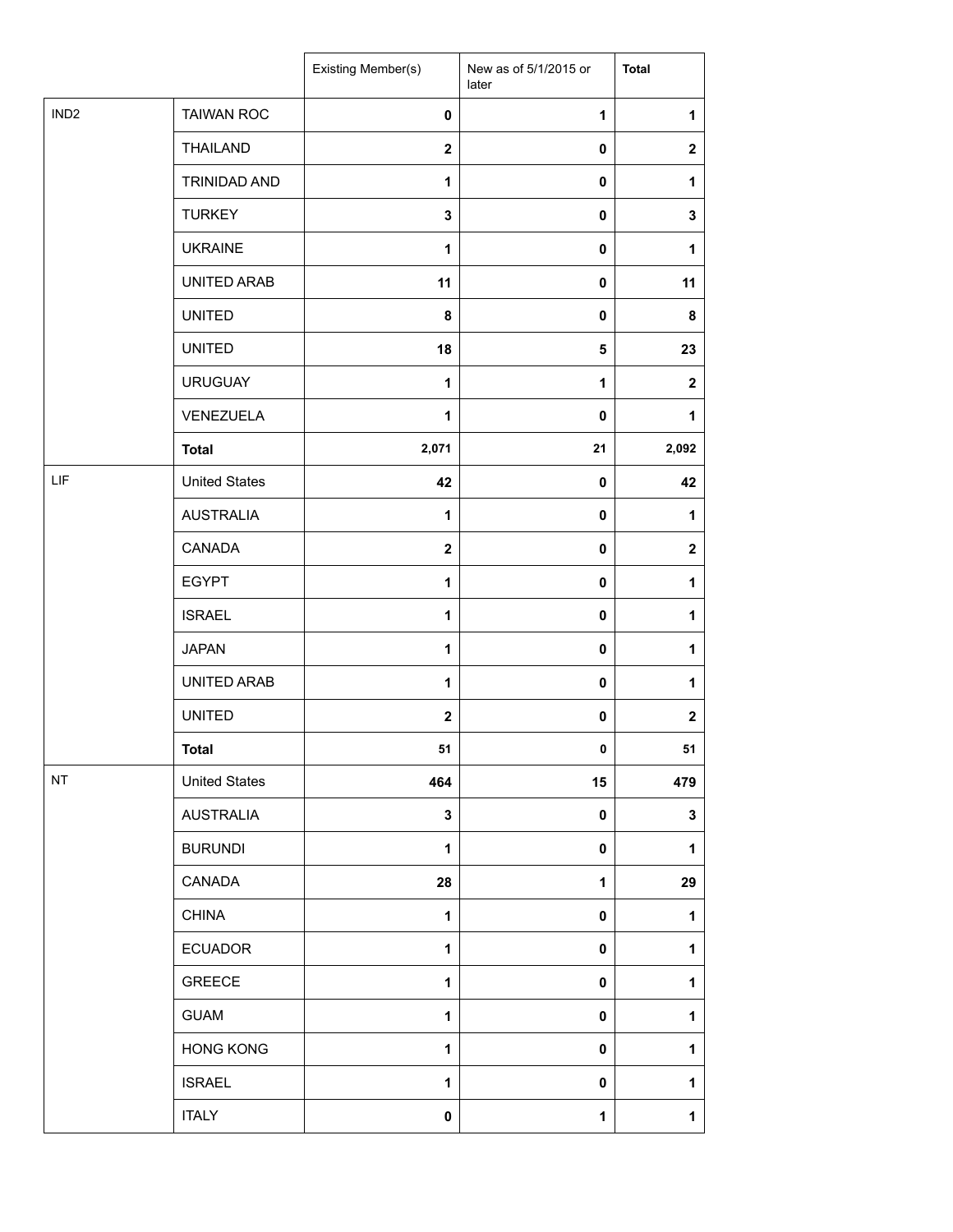|                  |                      | Existing Member(s)      | New as of 5/1/2015 or<br>later | <b>Total</b>     |
|------------------|----------------------|-------------------------|--------------------------------|------------------|
| IND <sub>2</sub> | <b>TAIWAN ROC</b>    | $\pmb{0}$               | 1                              | 1                |
|                  | <b>THAILAND</b>      | $\boldsymbol{2}$        | $\mathbf 0$                    | $\boldsymbol{2}$ |
|                  | TRINIDAD AND         | $\mathbf{1}$            | $\mathbf 0$                    | 1                |
|                  | <b>TURKEY</b>        | 3                       | 0                              | $\mathbf 3$      |
|                  | <b>UKRAINE</b>       | 1                       | 0                              | 1                |
|                  | UNITED ARAB          | 11                      | 0                              | 11               |
|                  | <b>UNITED</b>        | 8                       | 0                              | 8                |
|                  | <b>UNITED</b>        | 18                      | 5                              | 23               |
|                  | <b>URUGUAY</b>       | $\mathbf{1}$            | $\mathbf{1}$                   | $\mathbf{2}$     |
|                  | VENEZUELA            | 1                       | 0                              | 1                |
|                  | <b>Total</b>         | 2,071                   | 21                             | 2,092            |
| LIF              | <b>United States</b> | 42                      | 0                              | 42               |
|                  | <b>AUSTRALIA</b>     | 1                       | $\mathbf 0$                    | 1                |
|                  | CANADA               | $\overline{\mathbf{2}}$ | $\pmb{0}$                      | $\mathbf{2}$     |
|                  | <b>EGYPT</b>         | 1                       | 0                              | 1                |
|                  | <b>ISRAEL</b>        | 1                       | 0                              | 1                |
|                  | <b>JAPAN</b>         | $\mathbf{1}$            | 0                              | 1                |
|                  | UNITED ARAB          | 1                       | $\mathbf 0$                    | 1                |
|                  | <b>UNITED</b>        | $\boldsymbol{2}$        | 0                              | $\boldsymbol{2}$ |
|                  | <b>Total</b>         | 51                      | 0                              | 51               |
| NT               | <b>United States</b> | 464                     | 15                             | 479              |
|                  | <b>AUSTRALIA</b>     | 3                       | 0                              | $\mathbf 3$      |
|                  | <b>BURUNDI</b>       | 1                       | $\mathbf 0$                    | 1                |
|                  | CANADA               | 28                      | 1                              | 29               |
|                  | <b>CHINA</b>         | 1                       | 0                              | 1                |
|                  | <b>ECUADOR</b>       | $\mathbf{1}$            | 0                              | 1                |
|                  | <b>GREECE</b>        | $\mathbf{1}$            | 0                              | 1                |
|                  | <b>GUAM</b>          | 1                       | $\mathbf 0$                    | 1                |
|                  | <b>HONG KONG</b>     | 1                       | 0                              | 1                |
|                  | <b>ISRAEL</b>        | 1                       | 0                              | 1                |
|                  | <b>ITALY</b>         | 0                       | 1                              | 1                |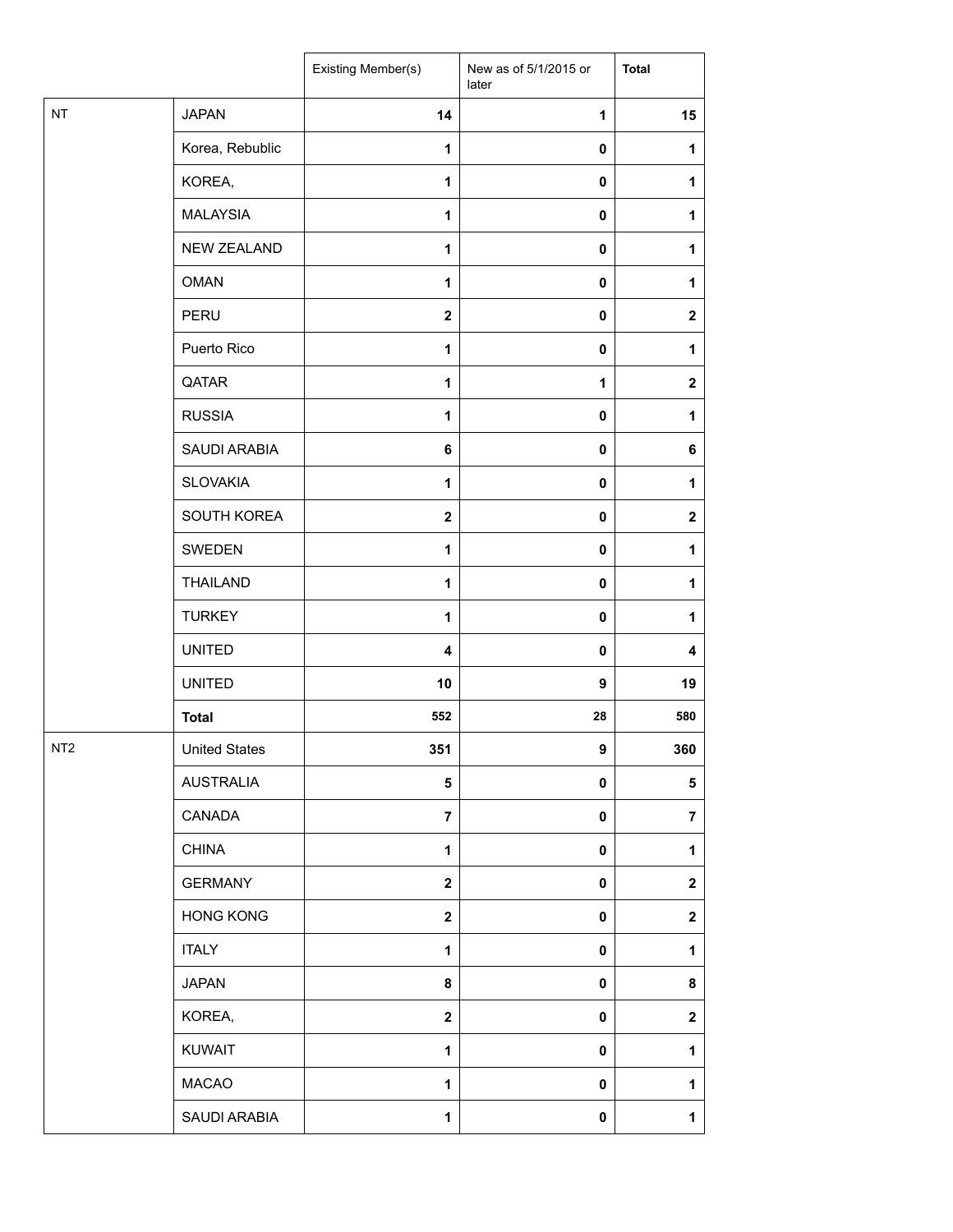|                 |                      | Existing Member(s)      | New as of 5/1/2015 or<br>later | <b>Total</b>     |
|-----------------|----------------------|-------------------------|--------------------------------|------------------|
| $\sf{NT}$       | <b>JAPAN</b>         | 14                      | 1                              | 15               |
|                 | Korea, Rebublic      | 1                       | 0                              | 1                |
|                 | KOREA,               | $\mathbf{1}$            | 0                              | 1                |
|                 | <b>MALAYSIA</b>      | 1                       | $\pmb{0}$                      | 1                |
|                 | NEW ZEALAND          | 1                       | 0                              | 1                |
|                 | <b>OMAN</b>          | $\mathbf{1}$            | 0                              | 1                |
|                 | PERU                 | $\mathbf{2}$            | $\pmb{0}$                      | $\boldsymbol{2}$ |
|                 | Puerto Rico          | 1                       | 0                              | 1                |
|                 | QATAR                | $\mathbf{1}$            | 1                              | $\mathbf 2$      |
|                 | <b>RUSSIA</b>        | 1                       | $\pmb{0}$                      | 1                |
|                 | SAUDI ARABIA         | 6                       | 0                              | 6                |
|                 | <b>SLOVAKIA</b>      | 1                       | $\pmb{0}$                      | 1                |
|                 | SOUTH KOREA          | $\mathbf{2}$            | $\pmb{0}$                      | $\boldsymbol{2}$ |
|                 | SWEDEN               | 1                       | 0                              | 1                |
|                 | <b>THAILAND</b>      | $\mathbf{1}$            | 0                              | 1                |
|                 | <b>TURKEY</b>        | 1                       | 0                              | 1                |
|                 | <b>UNITED</b>        | $\overline{\mathbf{4}}$ | 0                              | 4                |
|                 | <b>UNITED</b>        | 10                      | 9                              | 19               |
|                 | <b>Total</b>         | 552                     | 28                             | 580              |
| NT <sub>2</sub> | <b>United States</b> | 351                     | 9                              | 360              |
|                 | AUSTRALIA            | 5                       | 0                              | 5                |
|                 | CANADA               | $\overline{7}$          | 0                              | $\overline{7}$   |
|                 | <b>CHINA</b>         | $\mathbf{1}$            | 0                              | 1                |
|                 | <b>GERMANY</b>       | $\mathbf 2$             | $\pmb{0}$                      | $\boldsymbol{2}$ |
|                 | <b>HONG KONG</b>     | $\mathbf 2$             | 0                              | $\mathbf 2$      |
|                 | <b>ITALY</b>         | $\mathbf{1}$            | $\pmb{0}$                      | 1                |
|                 | <b>JAPAN</b>         | 8                       | 0                              | 8                |
|                 | KOREA,               | $\mathbf{2}$            | 0                              | $\mathbf 2$      |
|                 | <b>KUWAIT</b>        | $\mathbf{1}$            | $\pmb{0}$                      | 1                |
|                 | <b>MACAO</b>         | 1                       | 0                              | 1                |
|                 | SAUDI ARABIA         | $\mathbf{1}$            | 0                              | 1                |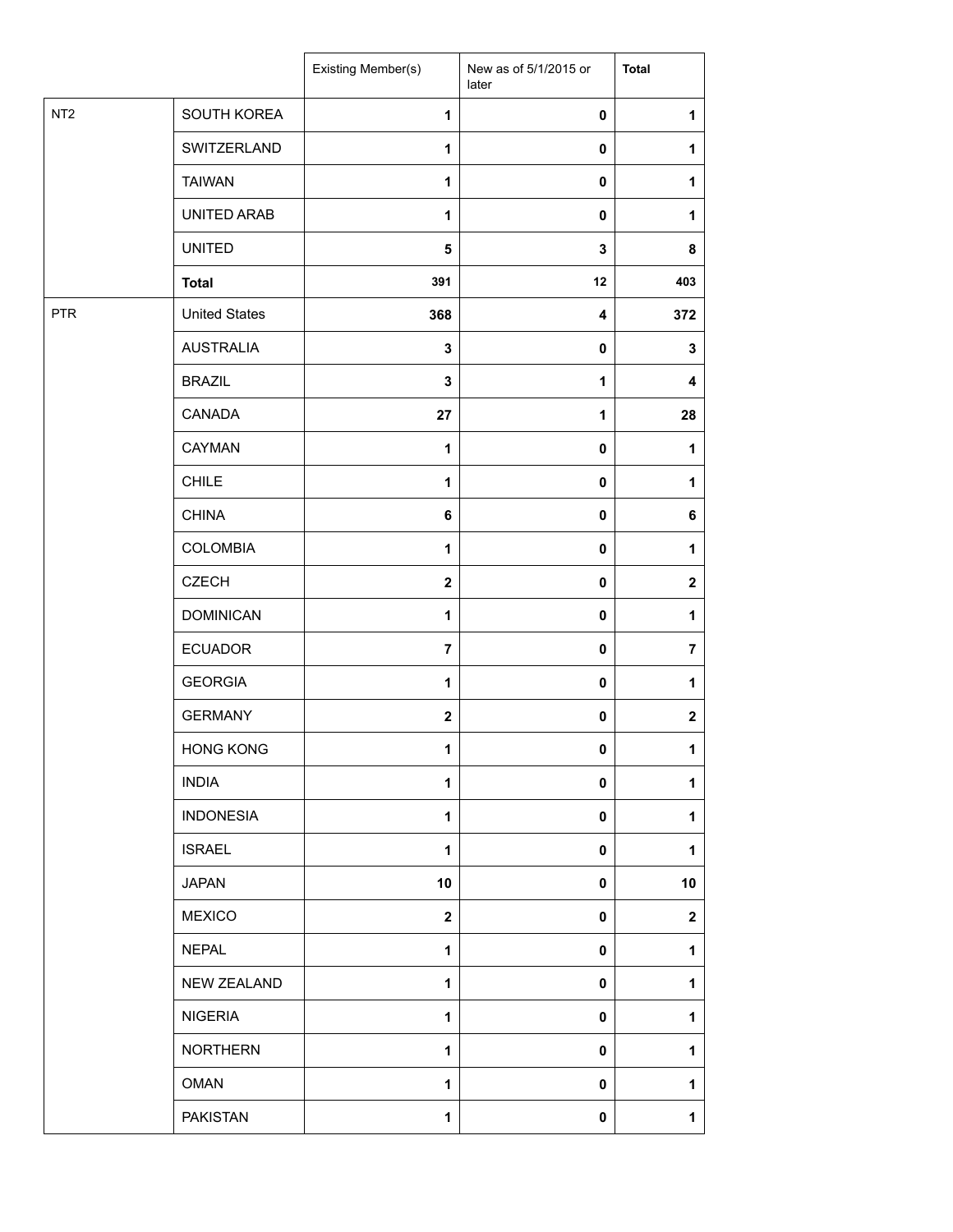|                 |                      | Existing Member(s)      | New as of 5/1/2015 or<br>later | <b>Total</b>   |
|-----------------|----------------------|-------------------------|--------------------------------|----------------|
| NT <sub>2</sub> | SOUTH KOREA          | 1                       | $\pmb{0}$                      | 1              |
|                 | SWITZERLAND          | 1                       | $\pmb{0}$                      | 1              |
|                 | <b>TAIWAN</b>        | 1                       | 0                              | 1              |
|                 | UNITED ARAB          | $\mathbf{1}$            | $\pmb{0}$                      | 1              |
|                 | <b>UNITED</b>        | $\overline{\mathbf{5}}$ | $\mathbf{3}$                   | 8              |
|                 | <b>Total</b>         | 391                     | 12                             | 403            |
| <b>PTR</b>      | <b>United States</b> | 368                     | $\boldsymbol{4}$               | 372            |
|                 | <b>AUSTRALIA</b>     | $\mathbf 3$             | $\pmb{0}$                      | 3              |
|                 | <b>BRAZIL</b>        | $\mathbf 3$             | 1                              | 4              |
|                 | CANADA               | 27                      | 1                              | 28             |
|                 | CAYMAN               | $\mathbf{1}$            | $\pmb{0}$                      | 1              |
|                 | <b>CHILE</b>         | 1                       | $\pmb{0}$                      | 1              |
|                 | <b>CHINA</b>         | 6                       | $\pmb{0}$                      | 6              |
|                 | <b>COLOMBIA</b>      | $\mathbf{1}$            | $\pmb{0}$                      | 1              |
|                 | <b>CZECH</b>         | $\boldsymbol{2}$        | $\pmb{0}$                      | $\mathbf 2$    |
|                 | <b>DOMINICAN</b>     | $\mathbf{1}$            | $\pmb{0}$                      | 1              |
|                 | <b>ECUADOR</b>       | $\overline{7}$          | $\pmb{0}$                      | $\overline{7}$ |
|                 | <b>GEORGIA</b>       | 1                       | $\pmb{0}$                      | 1              |
|                 | <b>GERMANY</b>       | $\mathbf{2}$            | $\pmb{0}$                      | $\mathbf 2$    |
|                 | <b>HONG KONG</b>     | 1                       | $\pmb{0}$                      | 1              |
|                 | <b>INDIA</b>         | $\mathbf{1}$            | 0                              | 1              |
|                 | <b>INDONESIA</b>     | $\mathbf{1}$            | 0                              | $\mathbf{1}$   |
|                 | <b>ISRAEL</b>        | $\mathbf{1}$            | $\pmb{0}$                      | 1              |
|                 | <b>JAPAN</b>         | 10                      | $\mathbf 0$                    | 10             |
|                 | <b>MEXICO</b>        | $\mathbf{2}$            | 0                              | $\mathbf 2$    |
|                 | <b>NEPAL</b>         | 1                       | 0                              | 1              |
|                 | <b>NEW ZEALAND</b>   | $\mathbf{1}$            | 0                              | 1              |
|                 | <b>NIGERIA</b>       | $\mathbf{1}$            | 0                              | $\mathbf{1}$   |
|                 | <b>NORTHERN</b>      | 1                       | $\mathbf 0$                    | 1              |
|                 | <b>OMAN</b>          | $\mathbf{1}$            | $\mathbf 0$                    | 1              |
|                 | <b>PAKISTAN</b>      | 1                       | 0                              | $\mathbf{1}$   |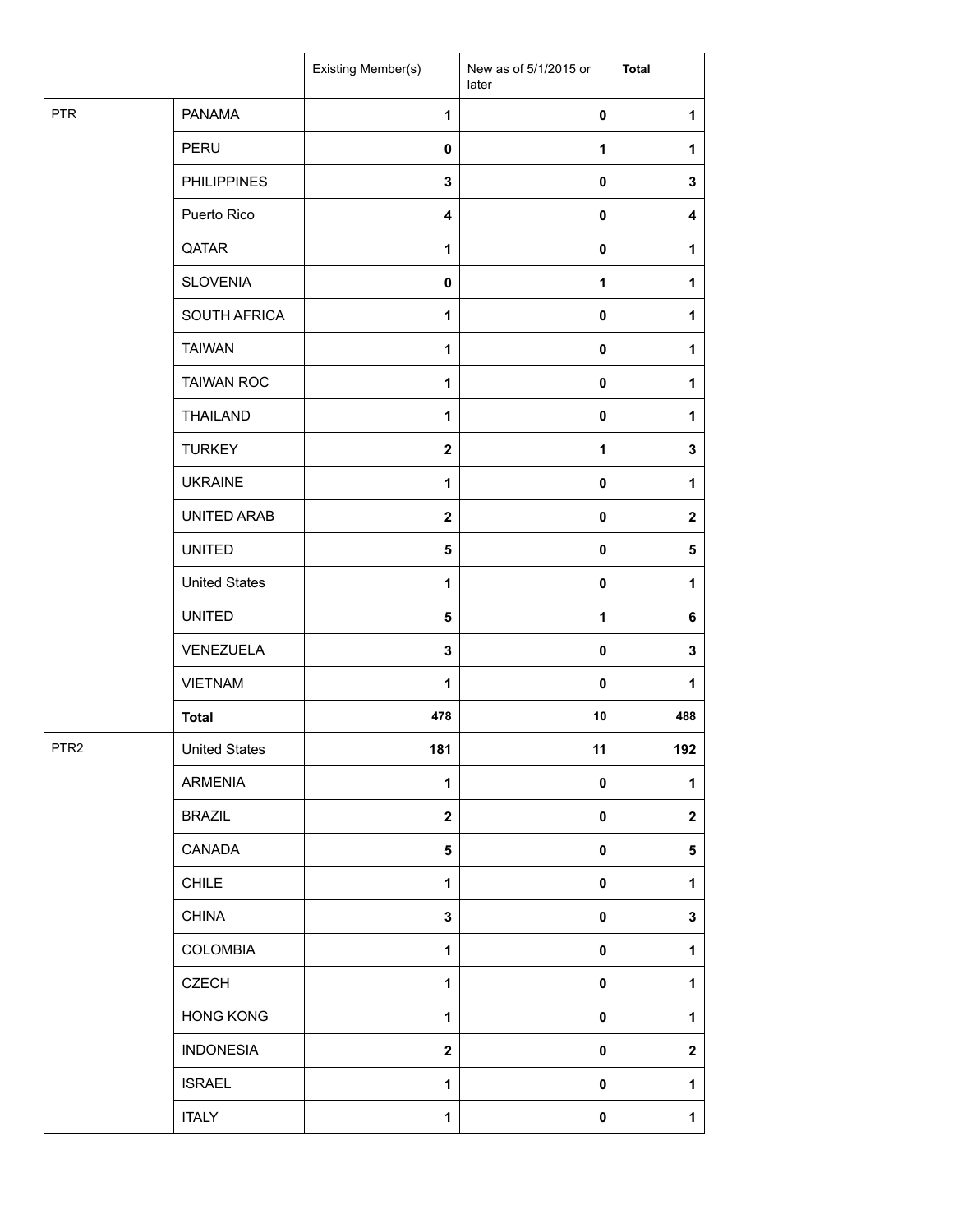|                  |                      | Existing Member(s)      | New as of 5/1/2015 or<br>later | <b>Total</b>     |
|------------------|----------------------|-------------------------|--------------------------------|------------------|
| <b>PTR</b>       | <b>PANAMA</b>        | 1                       | 0                              | $\mathbf{1}$     |
|                  | PERU                 | $\mathbf 0$             | 1                              | 1                |
|                  | <b>PHILIPPINES</b>   | $\mathbf 3$             | 0                              | $\mathbf 3$      |
|                  | Puerto Rico          | 4                       | 0                              | 4                |
|                  | QATAR                | 1                       | 0                              | 1                |
|                  | <b>SLOVENIA</b>      | $\pmb{0}$               | 1                              | $\mathbf{1}$     |
|                  | SOUTH AFRICA         | 1                       | 0                              | 1                |
|                  | <b>TAIWAN</b>        | 1                       | 0                              | 1                |
|                  | <b>TAIWAN ROC</b>    | 1                       | 0                              | $\mathbf{1}$     |
|                  | <b>THAILAND</b>      | 1                       | 0                              | $\mathbf{1}$     |
|                  | <b>TURKEY</b>        | $\overline{\mathbf{2}}$ | 1                              | 3                |
|                  | <b>UKRAINE</b>       | 1                       | $\pmb{0}$                      | 1                |
|                  | UNITED ARAB          | $\mathbf{2}$            | $\mathbf 0$                    | $\mathbf{2}$     |
|                  | <b>UNITED</b>        | 5                       | $\mathbf 0$                    | 5                |
|                  | <b>United States</b> | 1                       | 0                              | $\mathbf{1}$     |
|                  | <b>UNITED</b>        | $\sqrt{5}$              | 1                              | 6                |
|                  | VENEZUELA            | $\mathbf{3}$            | $\pmb{0}$                      | 3                |
|                  | <b>VIETNAM</b>       | 1                       | 0                              | 1                |
|                  | <b>Total</b>         | 478                     | 10                             | 488              |
| PTR <sub>2</sub> | <b>United States</b> | 181                     | 11                             | 192              |
|                  | ARMENIA              | 1                       | 0                              | 1                |
|                  | <b>BRAZIL</b>        | $\mathbf{2}$            | $\pmb{0}$                      | $\mathbf 2$      |
|                  | CANADA               | 5                       | 0                              | 5                |
|                  | <b>CHILE</b>         | $\mathbf{1}$            | 0                              | $\mathbf{1}$     |
|                  | <b>CHINA</b>         | 3                       | 0                              | $\mathbf 3$      |
|                  | COLOMBIA             | $\mathbf{1}$            | $\pmb{0}$                      | $\mathbf{1}$     |
|                  | <b>CZECH</b>         | 1                       | $\pmb{0}$                      | 1                |
|                  | <b>HONG KONG</b>     | 1                       | $\pmb{0}$                      | $\mathbf 1$      |
|                  | <b>INDONESIA</b>     | $\mathbf{2}$            | 0                              | $\boldsymbol{2}$ |
|                  | <b>ISRAEL</b>        | 1                       | 0                              | 1                |
|                  | <b>ITALY</b>         | 1                       | $\pmb{0}$                      | $\mathbf{1}$     |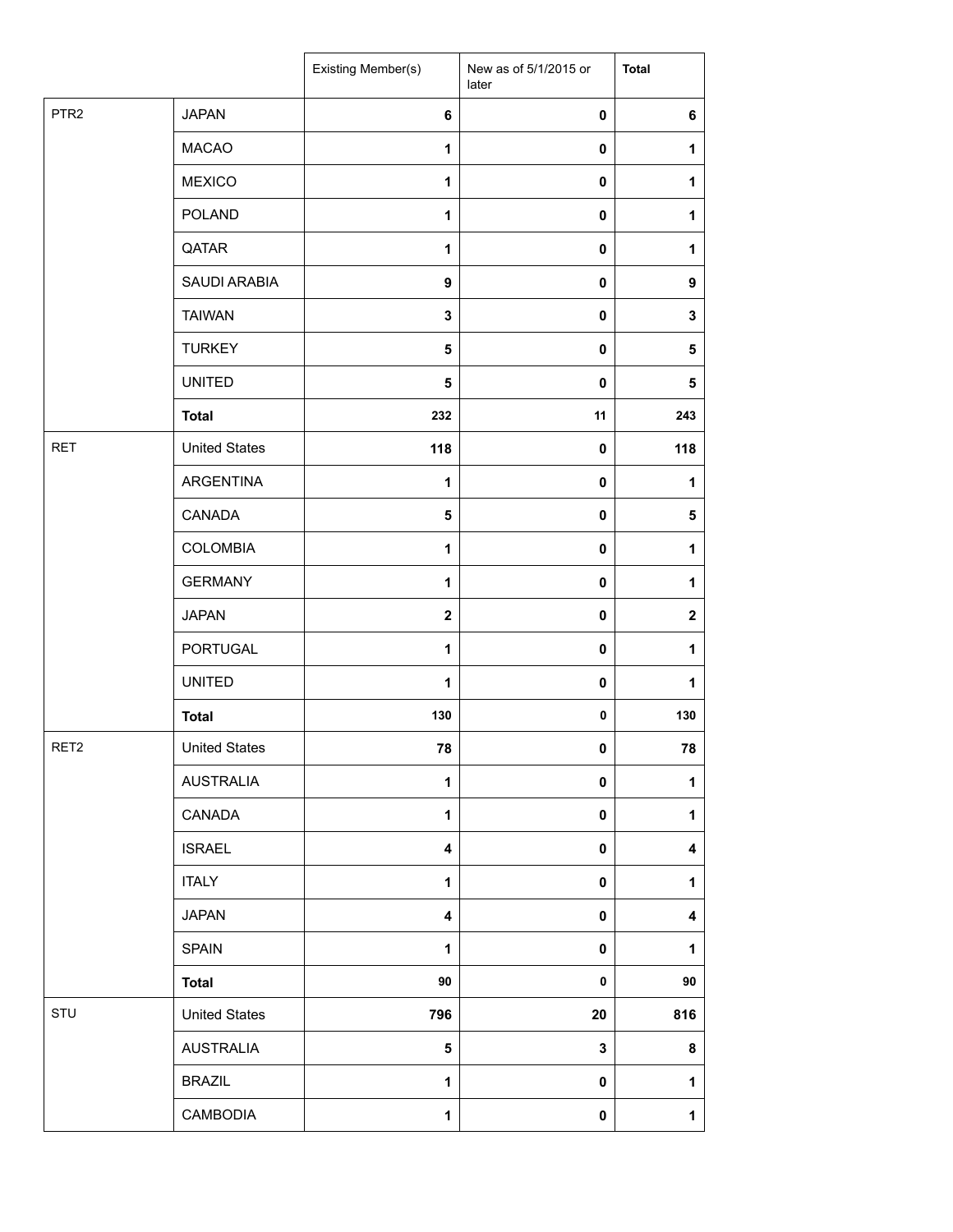|                  |                      | Existing Member(s)      | New as of 5/1/2015 or<br>later | <b>Total</b>     |
|------------------|----------------------|-------------------------|--------------------------------|------------------|
| PTR <sub>2</sub> | <b>JAPAN</b>         | 6                       | 0                              | $\bf 6$          |
|                  | <b>MACAO</b>         | 1                       | $\mathbf 0$                    | 1                |
|                  | <b>MEXICO</b>        | $\mathbf{1}$            | 0                              | 1                |
|                  | POLAND               | 1                       | 0                              | 1                |
|                  | QATAR                | $\mathbf{1}$            | 0                              | $\mathbf 1$      |
|                  | SAUDI ARABIA         | 9                       | 0                              | 9                |
|                  | <b>TAIWAN</b>        | $\mathbf 3$             | 0                              | 3                |
|                  | <b>TURKEY</b>        | 5                       | 0                              | 5                |
|                  | <b>UNITED</b>        | 5                       | 0                              | $\sqrt{5}$       |
|                  | <b>Total</b>         | 232                     | 11                             | 243              |
| <b>RET</b>       | <b>United States</b> | 118                     | 0                              | 118              |
|                  | ARGENTINA            | $\mathbf{1}$            | 0                              | $\mathbf{1}$     |
|                  | CANADA               | 5                       | 0                              | 5                |
|                  | <b>COLOMBIA</b>      | $\mathbf{1}$            | $\pmb{0}$                      | $\mathbf 1$      |
|                  | <b>GERMANY</b>       | $\mathbf{1}$            | $\mathbf 0$                    | 1                |
|                  | <b>JAPAN</b>         | $\mathbf{2}$            | 0                              | $\boldsymbol{2}$ |
|                  | PORTUGAL             | $\mathbf{1}$            | $\pmb{0}$                      | $\mathbf{1}$     |
|                  | <b>UNITED</b>        | 1                       | 0                              | 1                |
|                  | <b>Total</b>         | 130                     | 0                              | 130              |
| RET2             | <b>United States</b> | 78                      | 0                              | 78               |
|                  | <b>AUSTRALIA</b>     | $\mathbf{1}$            | 0                              | $\mathbf{1}$     |
|                  | CANADA               | $\mathbf{1}$            | $\mathbf 0$                    | $\mathbf{1}$     |
|                  | <b>ISRAEL</b>        | $\overline{\mathbf{4}}$ | $\mathbf 0$                    | 4                |
|                  | <b>ITALY</b>         | $\mathbf{1}$            | 0                              | 1                |
|                  | <b>JAPAN</b>         | 4                       | 0                              | 4                |
|                  | <b>SPAIN</b>         | $\mathbf{1}$            | 0                              | 1                |
|                  | <b>Total</b>         | 90                      | $\pmb{0}$                      | 90               |
| STU              | <b>United States</b> | 796                     | 20                             | 816              |
|                  | <b>AUSTRALIA</b>     | 5                       | 3                              | $\bf8$           |
|                  | <b>BRAZIL</b>        | 1                       | 0                              | 1                |
|                  | CAMBODIA             | 1                       | 0                              | $\mathbf{1}$     |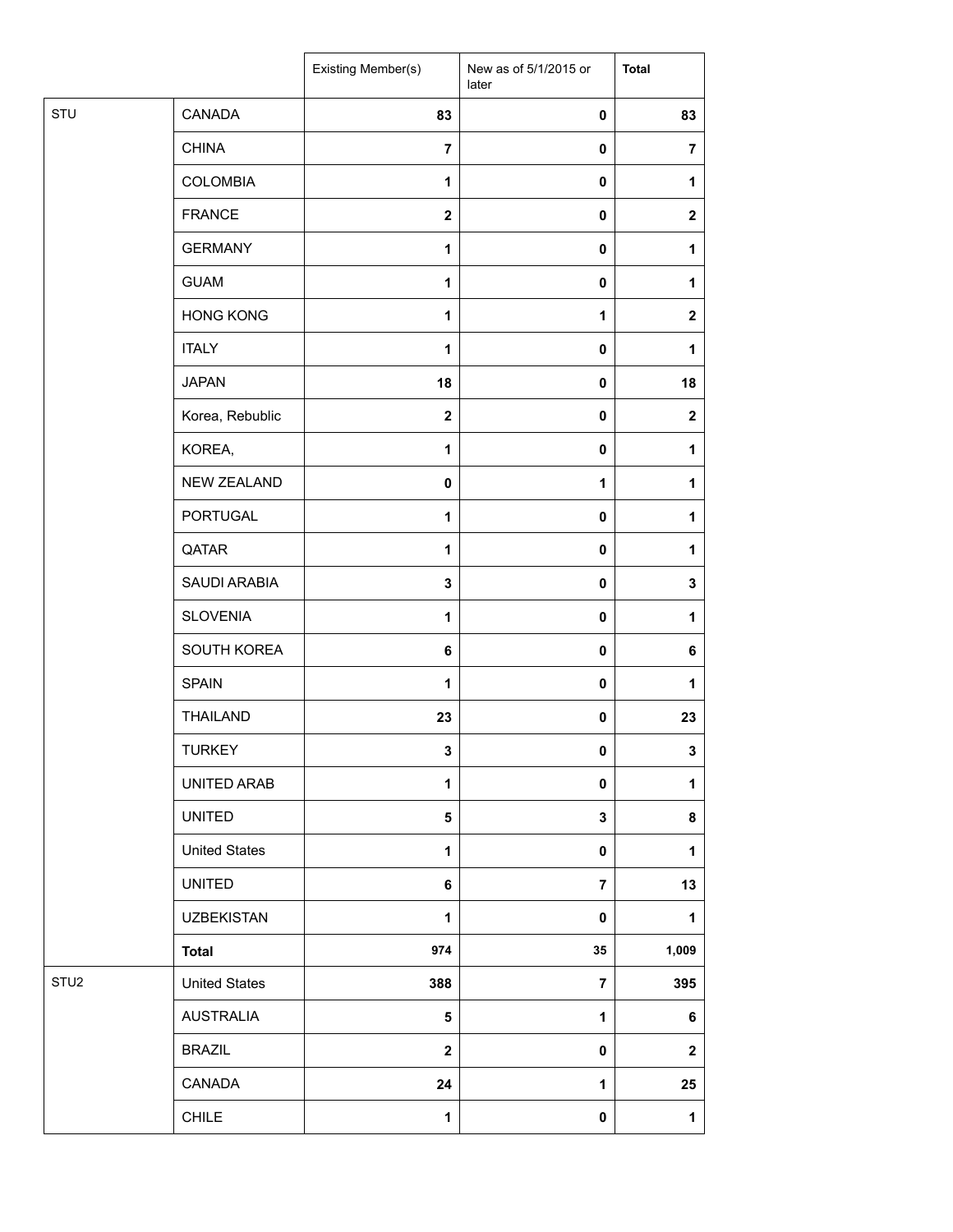|                  |                      | Existing Member(s) | New as of 5/1/2015 or<br>later | <b>Total</b>   |
|------------------|----------------------|--------------------|--------------------------------|----------------|
| STU              | CANADA               | 83                 | 0                              | 83             |
|                  | <b>CHINA</b>         | $\overline{7}$     | 0                              | $\overline{7}$ |
|                  | <b>COLOMBIA</b>      | $\mathbf{1}$       | 0                              | 1              |
|                  | <b>FRANCE</b>        | $\boldsymbol{2}$   | 0                              | $\mathbf 2$    |
|                  | <b>GERMANY</b>       | 1                  | 0                              | 1              |
|                  | <b>GUAM</b>          | $\mathbf{1}$       | $\mathbf 0$                    | 1              |
|                  | <b>HONG KONG</b>     | $\mathbf{1}$       | 1                              | $\mathbf 2$    |
|                  | <b>ITALY</b>         | $\mathbf{1}$       | 0                              | 1              |
|                  | <b>JAPAN</b>         | 18                 | 0                              | 18             |
|                  | Korea, Rebublic      | $\mathbf{2}$       | 0                              | $\mathbf{2}$   |
|                  | KOREA,               | $\mathbf{1}$       | 0                              | 1              |
|                  | NEW ZEALAND          | $\pmb{0}$          | $\mathbf{1}$                   | 1              |
|                  | <b>PORTUGAL</b>      | $\mathbf{1}$       | $\pmb{0}$                      | 1              |
|                  | QATAR                | 1                  | 0                              | 1              |
|                  | SAUDI ARABIA         | 3                  | 0                              | 3              |
|                  | <b>SLOVENIA</b>      | 1                  | 0                              | 1              |
|                  | SOUTH KOREA          | 6                  | $\pmb{0}$                      | 6              |
|                  | <b>SPAIN</b>         | 1                  | $\pmb{0}$                      | 1              |
|                  | <b>THAILAND</b>      | 23                 | 0                              | 23             |
|                  | <b>TURKEY</b>        | $\mathbf 3$        | $\pmb{0}$                      | 3              |
|                  | UNITED ARAB          | 1                  | 0                              | 1              |
|                  | <b>UNITED</b>        | 5                  | $\mathbf{3}$                   | 8              |
|                  | <b>United States</b> | $\mathbf{1}$       | $\pmb{0}$                      | 1              |
|                  | <b>UNITED</b>        | 6                  | $\overline{7}$                 | 13             |
|                  | <b>UZBEKISTAN</b>    | 1                  | 0                              | $\mathbf{1}$   |
|                  | <b>Total</b>         | 974                | 35                             | 1,009          |
| STU <sub>2</sub> | <b>United States</b> | 388                | $\overline{7}$                 | 395            |
|                  | <b>AUSTRALIA</b>     | $\sqrt{5}$         | $\mathbf 1$                    | 6              |
|                  | <b>BRAZIL</b>        | $\mathbf 2$        | 0                              | $\mathbf 2$    |
|                  | CANADA               | 24                 | 1                              | 25             |
|                  | <b>CHILE</b>         | $\mathbf{1}$       | $\pmb{0}$                      | $\mathbf{1}$   |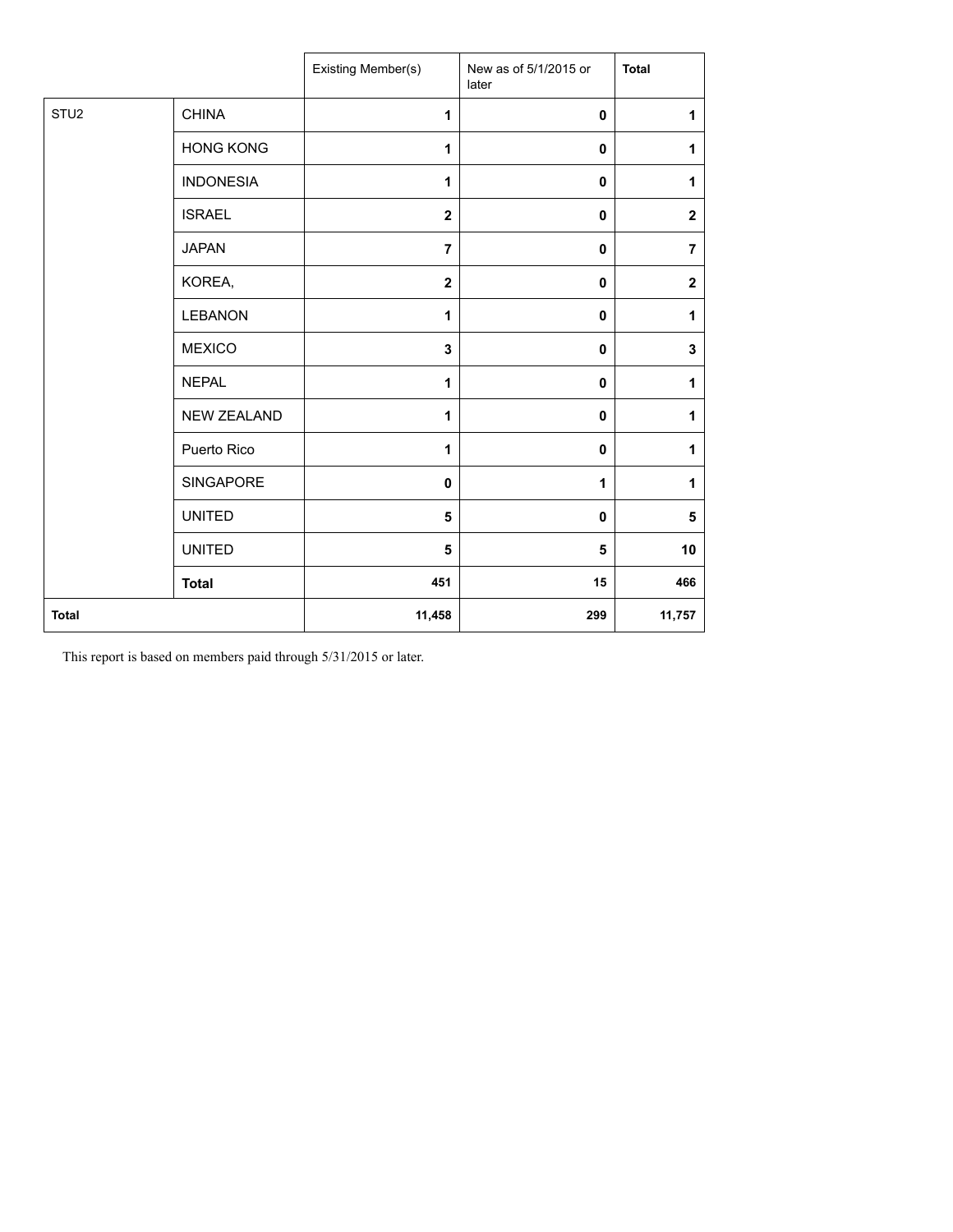|                  |                    | Existing Member(s)      | New as of 5/1/2015 or<br>later | <b>Total</b> |
|------------------|--------------------|-------------------------|--------------------------------|--------------|
| STU <sub>2</sub> | <b>CHINA</b>       | 1                       | $\mathbf 0$                    | $\mathbf{1}$ |
|                  | <b>HONG KONG</b>   | 1                       | 0                              | 1            |
|                  | <b>INDONESIA</b>   | 1                       | 0                              | $\mathbf{1}$ |
|                  | <b>ISRAEL</b>      | $\overline{\mathbf{2}}$ | $\mathbf 0$                    | $\mathbf{2}$ |
|                  | <b>JAPAN</b>       | $\overline{7}$          | 0                              | 7            |
|                  | KOREA,             | $\overline{\mathbf{2}}$ | 0                              | $\mathbf 2$  |
|                  | <b>LEBANON</b>     | 1                       | $\mathbf 0$                    | $\mathbf{1}$ |
|                  | <b>MEXICO</b>      | 3                       | 0                              | $\mathbf 3$  |
|                  | <b>NEPAL</b>       | 1                       | $\pmb{0}$                      | 1            |
|                  | <b>NEW ZEALAND</b> | 1                       | 0                              | 1            |
|                  | Puerto Rico        | 1                       | 0                              | 1            |
|                  | SINGAPORE          | $\pmb{0}$               | 1                              | 1            |
|                  | <b>UNITED</b>      | 5                       | 0                              | 5            |
|                  | <b>UNITED</b>      | 5                       | 5                              | 10           |
|                  | <b>Total</b>       | 451                     | 15                             | 466          |
| <b>Total</b>     |                    | 11,458                  | 299                            | 11,757       |

This report is based on members paid through 5/31/2015 or later.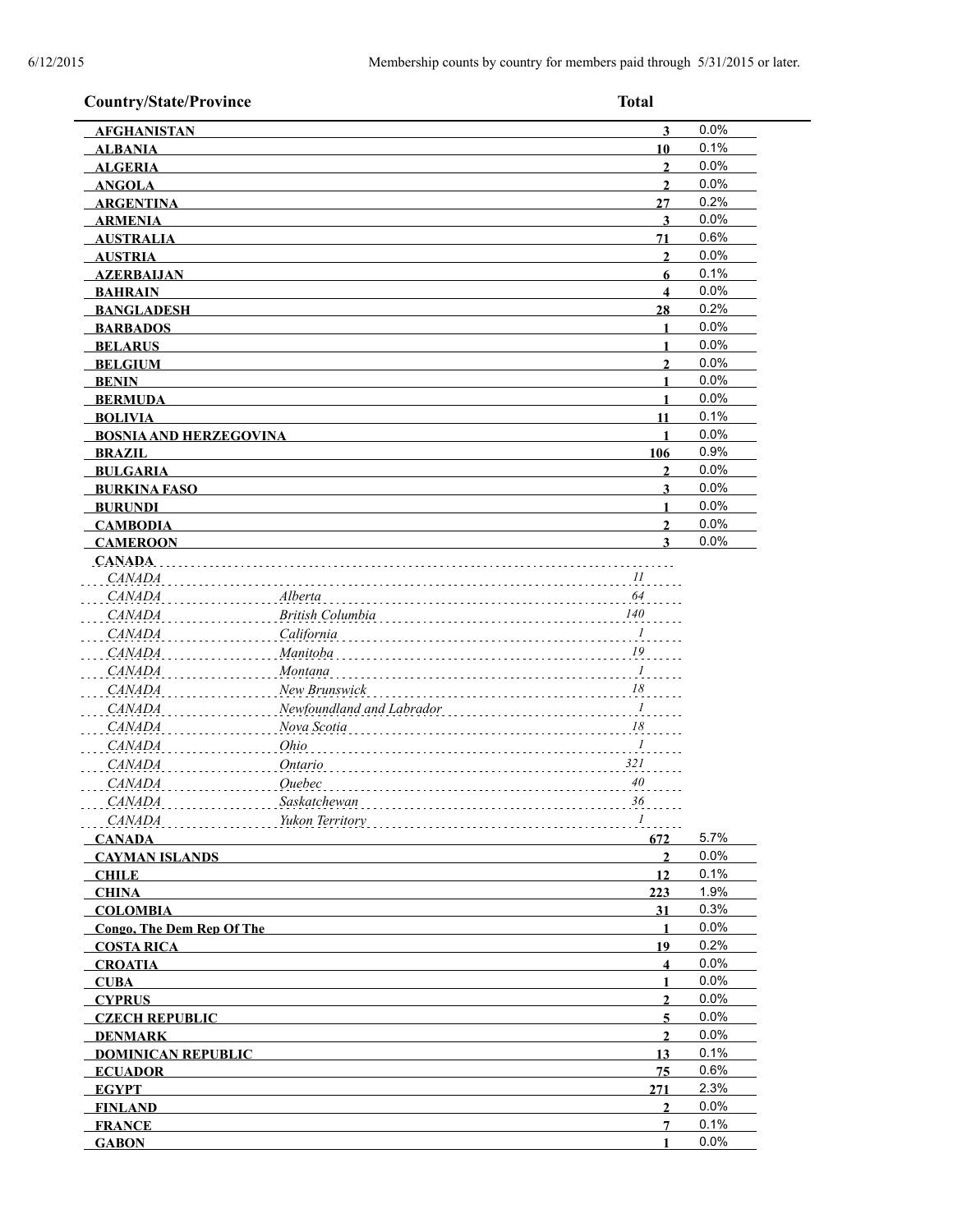| <b>Country/State/Province</b> | <b>Total</b>                                                                                                                                                                                                                         |      |
|-------------------------------|--------------------------------------------------------------------------------------------------------------------------------------------------------------------------------------------------------------------------------------|------|
| <b>AFGHANISTAN</b>            | 3                                                                                                                                                                                                                                    | 0.0% |
| <b>ALBANIA</b>                | 10                                                                                                                                                                                                                                   | 0.1% |
| <b>ALGERIA</b>                | $\mathbf{2}$                                                                                                                                                                                                                         | 0.0% |
| <b>ANGOLA</b>                 | $\overline{2}$                                                                                                                                                                                                                       | 0.0% |
| <b>ARGENTINA</b>              | 27                                                                                                                                                                                                                                   | 0.2% |
| <b>ARMENIA</b>                | 3                                                                                                                                                                                                                                    | 0.0% |
| <b>AUSTRALIA</b>              | 71                                                                                                                                                                                                                                   | 0.6% |
| <b>AUSTRIA</b>                | $\mathbf{2}$                                                                                                                                                                                                                         | 0.0% |
| <b>AZERBAIJAN</b>             | 6                                                                                                                                                                                                                                    | 0.1% |
| <b>BAHRAIN</b>                | $\overline{\mathbf{4}}$                                                                                                                                                                                                              | 0.0% |
| <b>BANGLADESH</b>             | 28                                                                                                                                                                                                                                   | 0.2% |
| <b>BARBADOS</b>               | $\mathbf{1}$                                                                                                                                                                                                                         | 0.0% |
| <b>BELARUS</b>                | $\mathbf{1}$                                                                                                                                                                                                                         | 0.0% |
| <b>BELGIUM</b>                | $\overline{2}$                                                                                                                                                                                                                       | 0.0% |
| <b>BENIN</b>                  | 1                                                                                                                                                                                                                                    | 0.0% |
| <b>BERMUDA</b>                | $\mathbf{1}$                                                                                                                                                                                                                         | 0.0% |
| <b>BOLIVIA</b>                | 11                                                                                                                                                                                                                                   | 0.1% |
| <b>BOSNIA AND HERZEGOVINA</b> | $\blacksquare$                                                                                                                                                                                                                       | 0.0% |
| <b>BRAZIL</b>                 | 106                                                                                                                                                                                                                                  | 0.9% |
| <b>BULGARIA</b>               | $\mathbf{2}$                                                                                                                                                                                                                         | 0.0% |
| <b>BURKINA FASO</b>           | 3                                                                                                                                                                                                                                    | 0.0% |
| <b>BURUNDI</b>                | $\blacksquare$                                                                                                                                                                                                                       | 0.0% |
| <b>CAMBODIA</b>               | $\overline{2}$                                                                                                                                                                                                                       | 0.0% |
| <b>CAMEROON</b>               | 3                                                                                                                                                                                                                                    | 0.0% |
| CANADA.<br>CANADA<br>CANADA   | $\ldots$ $II$<br>64<br>Alberta                                                                                                                                                                                                       |      |
| CANADA                        | British Columbia<br>140                                                                                                                                                                                                              |      |
| <i>CANADA</i>                 | California<br>$\overline{I}$                                                                                                                                                                                                         |      |
| <b>CANADA</b>                 | 19<br>Manitoba                                                                                                                                                                                                                       |      |
| <b>CANADA</b>                 | Montana<br>$\overline{I}$                                                                                                                                                                                                            |      |
| <b>CANADA</b>                 | New Brunswick<br>18                                                                                                                                                                                                                  |      |
| <b>CANADA</b>                 | Newfoundland and Labrador<br>$\overline{I}$                                                                                                                                                                                          |      |
| <b>CANADA</b>                 | Nova Scotia<br>18                                                                                                                                                                                                                    |      |
| <b>CANADA</b>                 | Ohio<br>$\overline{I}$                                                                                                                                                                                                               |      |
| CAMADA                        | 321<br>Ontario                                                                                                                                                                                                                       |      |
|                               | .<br>40                                                                                                                                                                                                                              |      |
| <b>CANADA</b>                 | <i><u>Ouebec</u></i>                                                                                                                                                                                                                 |      |
| CANADA                        | Saskatchewan entrancements and the same state of the same state of the same state of the same state of the state of the state of the state of the state of the state of the state of the state of the state of the state of th<br>36 |      |
| CANADA                        | Yukon Territory 1                                                                                                                                                                                                                    |      |
| <b>CANADA</b>                 | 672                                                                                                                                                                                                                                  | 5.7% |
| <b>CAYMAN ISLANDS</b>         | $\overline{2}$                                                                                                                                                                                                                       | 0.0% |
| <b>CHILE</b>                  | 12                                                                                                                                                                                                                                   | 0.1% |
| <b>CHINA</b>                  | 223                                                                                                                                                                                                                                  | 1.9% |
| <b>COLOMBIA</b>               | 31                                                                                                                                                                                                                                   | 0.3% |
| Congo, The Dem Rep Of The     | 1                                                                                                                                                                                                                                    | 0.0% |
| <b>COSTA RICA</b>             | 19                                                                                                                                                                                                                                   | 0.2% |
| <b>CROATIA</b>                | $\overline{\mathbf{4}}$                                                                                                                                                                                                              | 0.0% |
| <b>CUBA</b>                   | $\mathbf{1}$                                                                                                                                                                                                                         | 0.0% |
| <b>CYPRUS</b>                 | $\overline{2}$                                                                                                                                                                                                                       | 0.0% |
| <b>CZECH REPUBLIC</b>         | $\overline{5}$                                                                                                                                                                                                                       | 0.0% |
| <b>DENMARK</b>                | $\mathbf{2}$                                                                                                                                                                                                                         | 0.0% |
| <b>DOMINICAN REPUBLIC</b>     | 13                                                                                                                                                                                                                                   | 0.1% |
| <b>ECUADOR</b>                | 75                                                                                                                                                                                                                                   | 0.6% |
| <b>EGYPT</b>                  | 271                                                                                                                                                                                                                                  | 2.3% |
| <b>FINLAND</b>                | $\overline{2}$                                                                                                                                                                                                                       | 0.0% |
| <b>FRANCE</b>                 | $\overline{7}$                                                                                                                                                                                                                       | 0.1% |
| <b>GABON</b>                  | $\mathbf{1}$                                                                                                                                                                                                                         | 0.0% |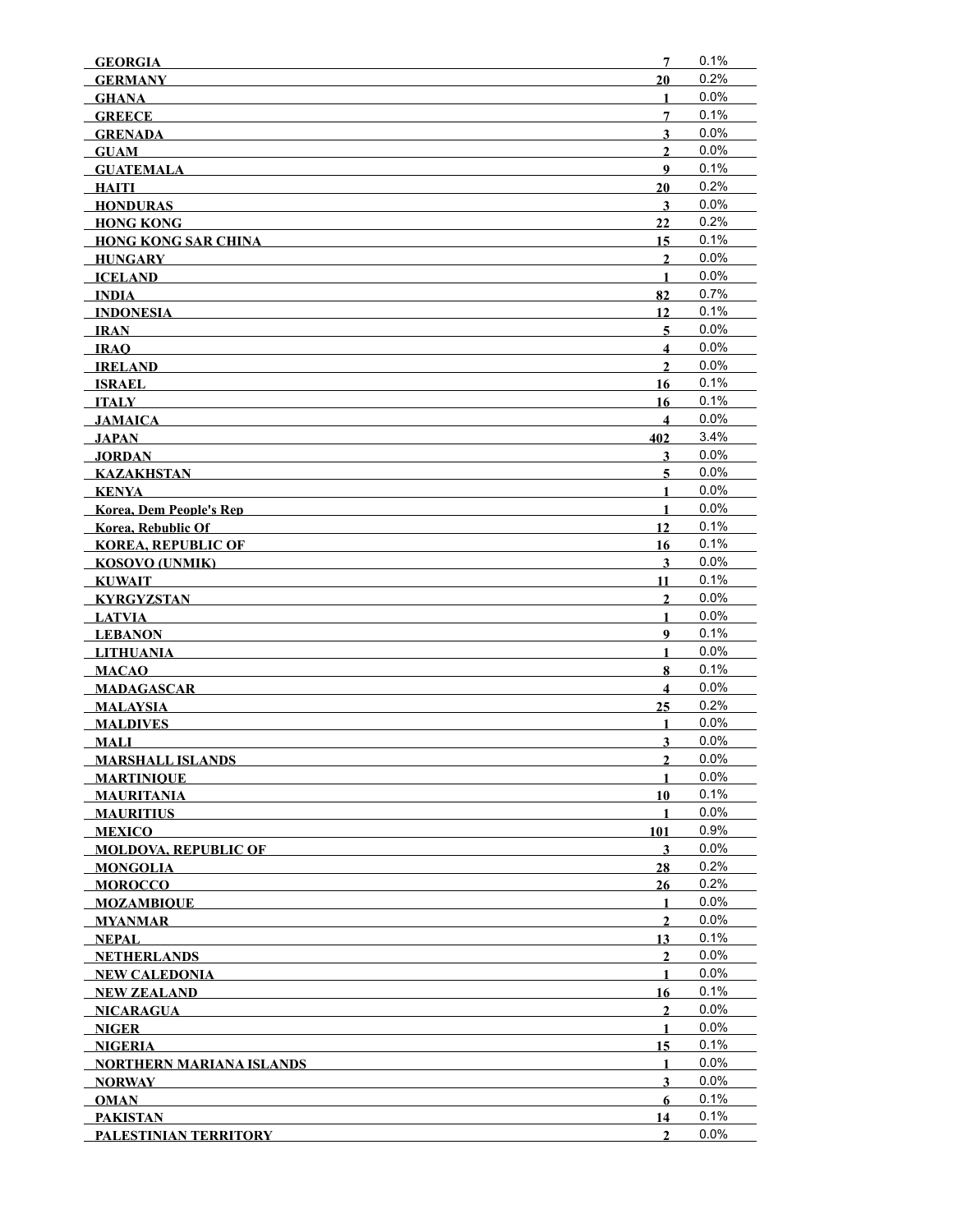| <b>GEORGIA</b>                  | 7                       | 0.1%    |
|---------------------------------|-------------------------|---------|
| <b>GERMANY</b>                  | 20                      | 0.2%    |
| <b>GHANA</b>                    | 1                       | 0.0%    |
| <b>GREECE</b>                   | 7                       | 0.1%    |
| <b>GRENADA</b>                  | $\overline{\mathbf{3}}$ | 0.0%    |
| <b>GUAM</b>                     | $\overline{2}$          | 0.0%    |
| <b>GUATEMALA</b>                | 9                       | 0.1%    |
| HAITI                           | 20                      | 0.2%    |
| <b>HONDURAS</b>                 | 3                       | 0.0%    |
| <b>HONG KONG</b>                | 22                      | 0.2%    |
| <b>HONG KONG SAR CHINA</b>      | 15                      | 0.1%    |
| HUNGARY                         | $\overline{2}$          | 0.0%    |
| <b>ICELAND</b>                  | $\mathbf{1}$            | 0.0%    |
| <b>INDIA</b>                    | 82                      | 0.7%    |
| <b>INDONESIA</b>                | 12                      | 0.1%    |
| IRAN                            | 5                       | 0.0%    |
| <b>IRAO</b>                     | $\overline{\mathbf{4}}$ | 0.0%    |
| <b>IRELAND</b>                  | $\overline{2}$          | 0.0%    |
| <b>ISRAEL</b>                   | 16                      | 0.1%    |
| ITALY                           | 16                      | 0.1%    |
| <b>JAMAICA</b>                  | $\overline{\mathbf{4}}$ | 0.0%    |
| JAPAN                           | 402                     | 3.4%    |
| <b>JORDAN</b>                   | 3                       | 0.0%    |
| KAZAKHSTAN                      | 5                       | 0.0%    |
| KENYA                           | $\mathbf{1}$            | 0.0%    |
| <b>Korea, Dem People's Rep</b>  | $\mathbf{1}$            | 0.0%    |
| <b>Korea, Rebublic Of</b>       | 12                      | 0.1%    |
| <b>KOREA, REPUBLIC OF</b>       | 16                      | 0.1%    |
| <b>KOSOVO (UNMIK)</b>           | 3                       | 0.0%    |
| <b>KUWAIT</b>                   | 11                      | 0.1%    |
| <b>KYRGYZSTAN</b>               | $\boldsymbol{2}$        | 0.0%    |
| <b>LATVIA</b>                   | 1                       | 0.0%    |
| <b>LEBANON</b>                  | $\boldsymbol{9}$        | 0.1%    |
| <b>LITHUANIA</b>                | $\mathbf{1}$            | 0.0%    |
| <b>MACAO</b>                    | 8                       | 0.1%    |
| <b>MADAGASCAR</b>               | $\overline{\mathbf{4}}$ | 0.0%    |
| <b>MALAYSIA</b>                 | 25                      | 0.2%    |
| <b>MALDIVES</b>                 | 1                       | 0.0%    |
| <b>MALI</b>                     | $\overline{\mathbf{3}}$ | 0.0%    |
| <b>MARSHALL ISLANDS</b>         | $\overline{2}$          | 0.0%    |
| <b>MARTINIOUE</b>               | 1                       | $0.0\%$ |
| <b>MAURITANIA</b>               | 10                      | 0.1%    |
| <b>MAURITIUS</b>                | 1                       | 0.0%    |
| <b>MEXICO</b>                   | 101                     | 0.9%    |
| <b>MOLDOVA. REPUBLIC OF</b>     | 3                       | 0.0%    |
| <b>MONGOLIA</b>                 | 28                      | 0.2%    |
| <b>MOROCCO</b>                  | 26                      | 0.2%    |
| <b>MOZAMBIOUE</b>               | $\mathbf{1}$            | 0.0%    |
| <b>MYANMAR</b>                  | $\overline{2}$          | 0.0%    |
| <b>NEPAL</b>                    | 13                      | 0.1%    |
| <b>NETHERLANDS</b>              | $\mathbf{2}$            | 0.0%    |
| NEW CALEDONIA                   | 1                       | 0.0%    |
| <b>NEW ZEALAND</b>              | 16                      | 0.1%    |
| NICARAGUA                       | $\overline{2}$          | 0.0%    |
| NIGER                           | 1                       | 0.0%    |
| <b>NIGERIA</b>                  | 15                      | 0.1%    |
| <b>NORTHERN MARIANA ISLANDS</b> | 1                       | 0.0%    |
| <b>NORWAY</b>                   | $\overline{\mathbf{3}}$ | 0.0%    |
| <b>OMAN</b>                     | 6                       | 0.1%    |
| <b>PAKISTAN</b>                 | 14                      | 0.1%    |
| PALESTINIAN TERRITORY           | $\mathbf{2}$            | 0.0%    |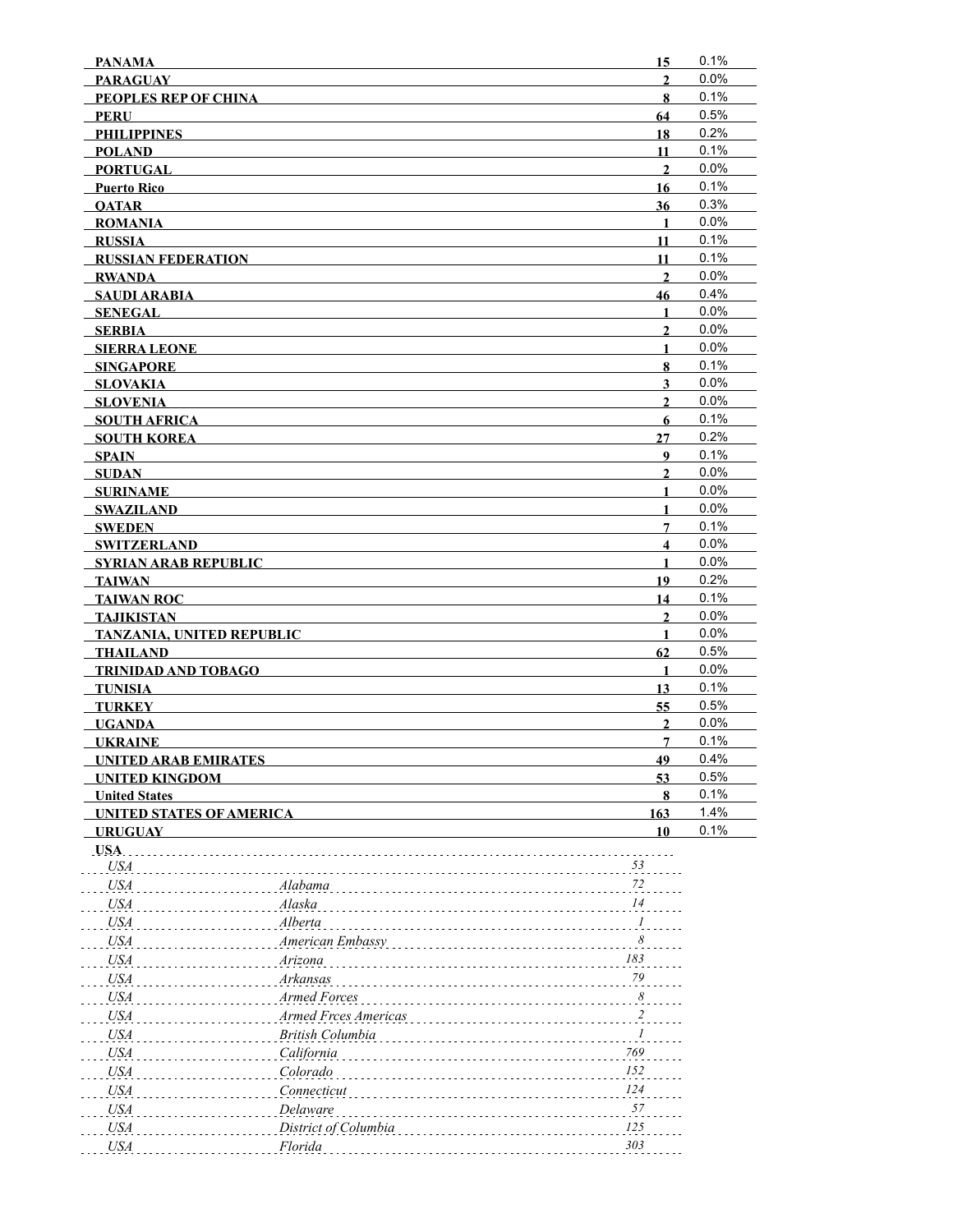| <b>PANAMA</b>                             |                      | 15                      | 0.1%         |
|-------------------------------------------|----------------------|-------------------------|--------------|
| <b>PARAGUAY</b>                           |                      | $\overline{2}$          | 0.0%         |
| <b>PEOPLES REP OF CHINA</b>               |                      | 8                       | 0.1%         |
| <b>PERU</b>                               |                      | 64                      | 0.5%         |
| <b>PHILIPPINES</b>                        |                      | 18                      | 0.2%         |
| <b>POLAND</b>                             |                      | 11                      | 0.1%         |
| <b>PORTUGAL</b>                           |                      | $\overline{2}$          | 0.0%         |
| <b>Puerto Rico</b>                        |                      | 16                      | 0.1%         |
| <b>OATAR</b>                              |                      | 36                      | 0.3%         |
| <b>ROMANIA</b>                            |                      | $\mathbf{1}$            | 0.0%         |
| <b>RUSSIA</b>                             |                      | 11                      | 0.1%         |
| <b>RUSSIAN FEDERATION</b>                 |                      | 11                      | 0.1%         |
| <b>RWANDA</b>                             |                      | $\overline{2}$          | 0.0%<br>0.4% |
| <b>SAUDI ARABIA</b>                       |                      | 46                      |              |
| <b>SENEGAL</b>                            |                      | 1                       | 0.0%         |
| <b>SERBIA</b>                             |                      | $\overline{2}$          | 0.0%<br>0.0% |
| <b>SIERRA LEONE</b>                       |                      | 1                       | 0.1%         |
| <b>SINGAPORE</b>                          |                      | 8                       | 0.0%         |
| <b>SLOVAKIA</b>                           |                      | 3                       | 0.0%         |
| <b>SLOVENIA</b>                           |                      | $\overline{2}$          | 0.1%         |
| <b>SOUTH AFRICA</b><br><b>SOUTH KOREA</b> |                      | 6<br>27                 | 0.2%         |
| <b>SPAIN</b>                              |                      | $\boldsymbol{9}$        | 0.1%         |
| <b>SUDAN</b>                              |                      | $\overline{2}$          | 0.0%         |
| <b>SURINAME</b>                           |                      | $\mathbf{1}$            | 0.0%         |
| <b>SWAZILAND</b>                          |                      | $\mathbf{1}$            | 0.0%         |
| <b>SWEDEN</b>                             |                      | $\overline{7}$          | 0.1%         |
| <b>SWITZERLAND</b>                        |                      | $\overline{\mathbf{4}}$ | 0.0%         |
| <b>SYRIAN ARAB REPUBLIC</b>               |                      | $\mathbf{1}$            | 0.0%         |
| <b>TAIWAN</b>                             |                      | 19                      | 0.2%         |
| <b>TAIWAN ROC</b>                         |                      | 14                      | 0.1%         |
| <b>TAJIKISTAN</b>                         |                      | $\mathbf{2}$            | 0.0%         |
| TANZANIA, UNITED REPUBLIC                 |                      | $\mathbf{1}$            | 0.0%         |
| <b>THAILAND</b>                           |                      | 62                      | 0.5%         |
| TRINIDAD AND TOBAGO                       |                      | $\mathbf{1}$            | 0.0%         |
| <b>TUNISIA</b>                            |                      | 13                      | 0.1%         |
| <b>TURKEY</b>                             |                      | 55                      | 0.5%         |
| <b>UGANDA</b>                             |                      | $\overline{2}$          | 0.0%         |
| <b>UKRAINE</b>                            |                      | $\overline{7}$          | 0.1%         |
| <b>UNITED ARAB EMIRATES</b>               |                      | 49                      | 0.4%         |
| <b>UNITED KINGDOM</b>                     |                      | 53                      | 0.5%         |
| <b>United States</b>                      |                      | 8                       | 0.1%         |
| <b>UNITED STATES OF AMERICA</b>           |                      | 163                     | 1.4%         |
| <b>URUGUAY</b>                            |                      | 10                      | 0.1%         |
| USA.                                      |                      |                         |              |
| <b>USA</b>                                |                      | 53                      |              |
| <b>USA</b>                                | Alabama              | $72\,$                  |              |
| <b>USA</b>                                | Alaska               | 14                      |              |
| <b>USA</b>                                | Alberta              | $\boldsymbol{l}$        |              |
| <b>USA</b>                                | American Embassy     | $\boldsymbol{\delta}$   |              |
| <b>USA</b>                                | Arizona              | 183                     |              |
| <b>USA</b>                                | Arkansas             | 79                      |              |
| <b>USA</b>                                | Armed Forces         | $\boldsymbol{\delta}$   |              |
| <b>USA</b>                                | Armed Frces Americas | $\frac{2}{\sqrt{2}}$    |              |
| <b>USA</b>                                | British Columbia     | $\boldsymbol{l}$        |              |
| <b>USA</b>                                | California           | 769                     |              |
| <b>USA</b>                                | Colorado             | $152\,$                 |              |
| <b>USA</b>                                | Connecticut          | $124\,$                 |              |
| <b>USA</b>                                | Delaware             | 57                      |              |
| <b>USA</b>                                | District of Columbia | $125\,$                 |              |
| <b>USA</b>                                | Florida              | 303                     |              |
|                                           |                      |                         |              |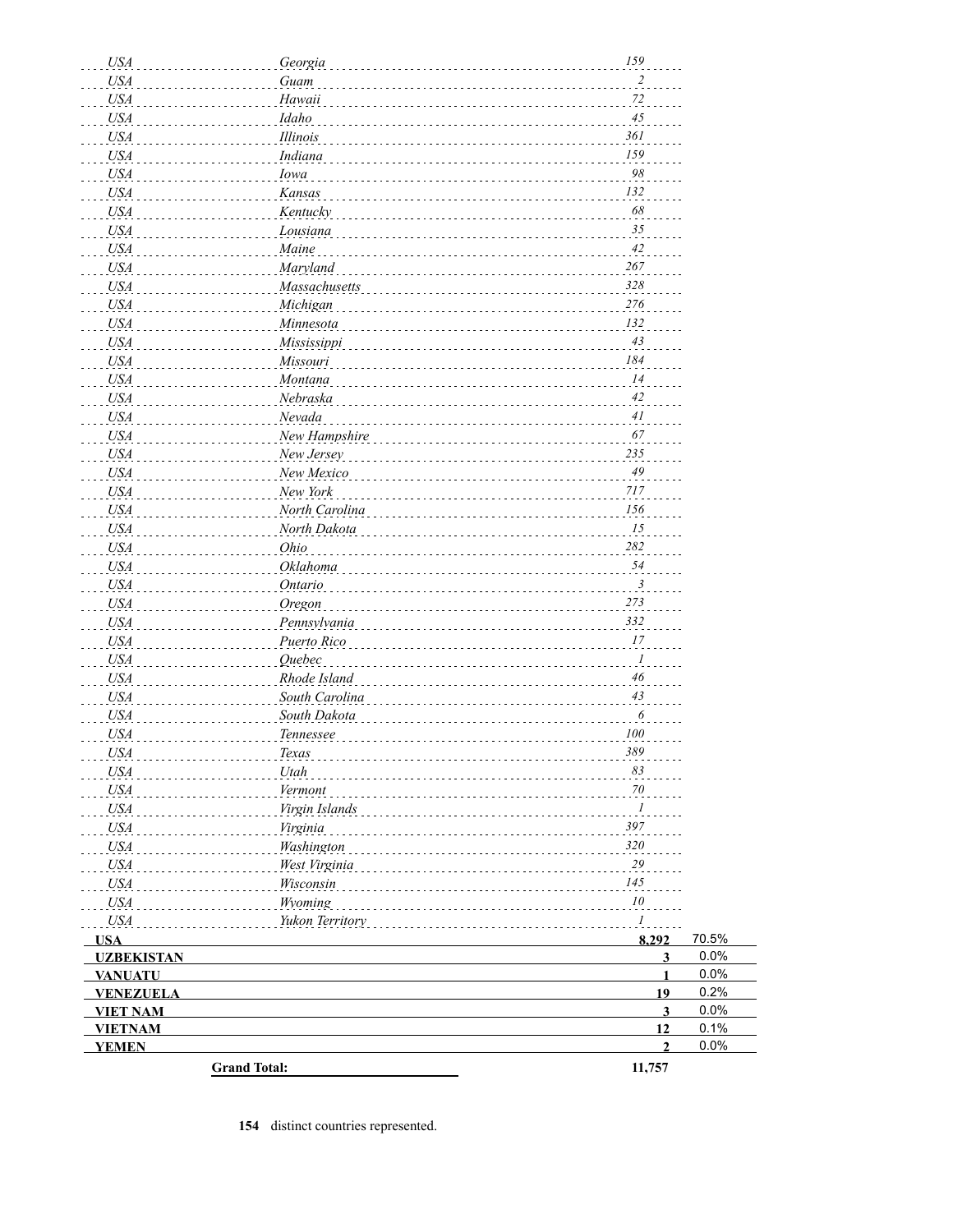| <b>USA</b>        | Georgia               | 159                     |       |
|-------------------|-----------------------|-------------------------|-------|
| <b>USA</b>        | Guam                  | $\overline{c}$          |       |
| USA               | Hawaii                | 72                      |       |
| <i>USA</i>        | Idaho                 | 45                      |       |
| USA               | Illinois              | 361                     |       |
| USA               | <i>Indiana</i>        | 159                     |       |
| USA               | Iowa                  | $98\,$                  |       |
| USA               | Kansas                | 132                     |       |
| USA               | Kentucky              | 68                      |       |
| USA               | Lousiana              | 35                      |       |
| USA               | Maine                 | 42                      |       |
| USA               | <b>Maryland</b>       | 267                     |       |
| USA               | Massachusetts         | 328                     |       |
| USA               | Michigan              | 276                     |       |
| USA               | Minnesota             | 132                     |       |
| USA               | Mississippi           | 43                      |       |
| USA               | Missouri              | 184                     |       |
| USA               | Montana               | 14                      |       |
| USA               | Nebraska              | 42                      |       |
| USA               | Nevada                | 41                      |       |
| USA               | New Hampshire         | 67                      |       |
| USA               | New Jersey            | 235                     |       |
| USA               | New Mexico            | $\sqrt{49}$             |       |
| USA               | New York              | 717                     |       |
| USA               | North Carolina        | 156                     |       |
| USA               | North Dakota          | 15                      |       |
| USA               | Ohio                  | 282                     |       |
| USA               | Oklahoma              | 54                      |       |
| USA               | Ontario               | 3                       |       |
| USA               | Oregon                | 273                     |       |
| USA               | Pennsylvania          | 332                     |       |
| <b>USA</b>        | Puerto Rico           | 17                      |       |
| <b>USA</b>        | <b>Ouebec</b>         | $\boldsymbol{l}$        |       |
| <b>USA</b>        | Rhode Island          | $\sqrt{46}$             |       |
| <b>USA</b>        | South Carolina        | 43                      |       |
| <b>USA</b>        | South Dakota          | 6                       |       |
| <b>USA</b>        | <b>Tennessee</b><br>. | 100                     |       |
| USA               | <i>Texas</i>          | 389                     |       |
| <i>USA</i>        | Utah                  | 83                      |       |
| <b>USA</b>        | Vermont               | 70                      |       |
| USA               | Virgin Islands        | $\ldots$ <sup>1</sup>   |       |
| USA               | Virginia              | 397                     |       |
| USA               | Washington            | 320                     |       |
| USA               | West Virginia         | 29                      |       |
| USA               | Wisconsin             | 145                     |       |
| USA               | Wyoming               | 10                      |       |
| <b>USA</b>        | Yukon Territory       | 1                       |       |
| <b>USA</b>        |                       | 8,292                   | 70.5% |
| <b>UZBEKISTAN</b> |                       | $\overline{\mathbf{3}}$ | 0.0%  |
| <b>VANUATU</b>    |                       | $\mathbf{1}$            | 0.0%  |
| <b>VENEZUELA</b>  |                       | 19                      | 0.2%  |
| <b>VIET NAM</b>   |                       | $\mathbf{3}$            | 0.0%  |
| <b>VIETNAM</b>    |                       | 12                      | 0.1%  |
| <b>YEMEN</b>      |                       | $\overline{2}$          | 0.0%  |
|                   | <b>Grand Total:</b>   | 11,757                  |       |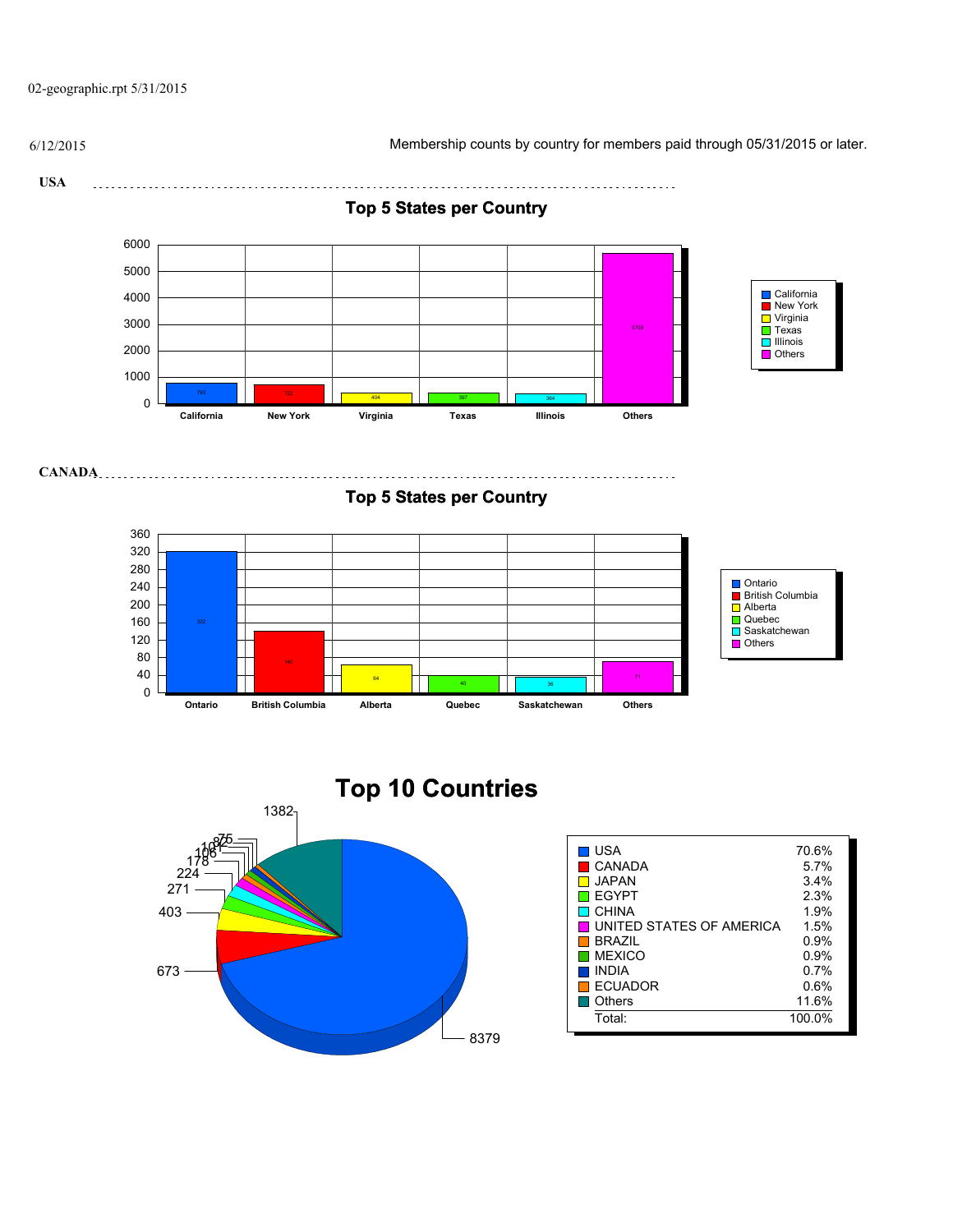02-geographic.rpt 5/31/2015

6/12/2015 Membership counts by country for members paid through 05/31/2015 or later.

**USA** 



8379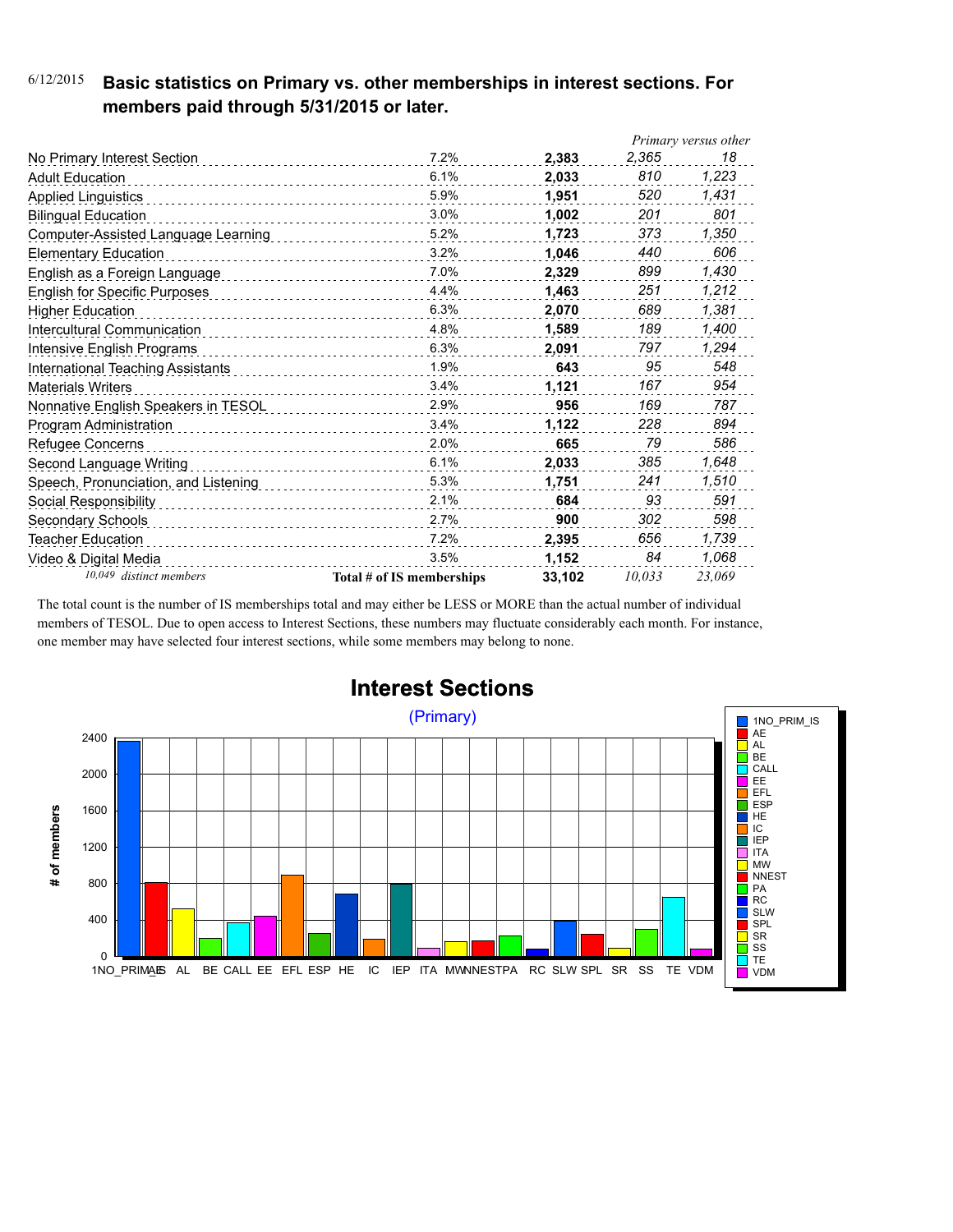### 6/12/2015 **Basic statistics on Primary vs. other memberships in interest sections. For members paid through 5/31/2015 or later.**

|                                      |                           |        |        | Primary versus other |
|--------------------------------------|---------------------------|--------|--------|----------------------|
| No Primary Interest Section          | 7.2%                      | 2,383  | 2,365  | 18                   |
| <b>Adult Education</b>               | 6.1%                      | 2,033  | 810    | 1,223                |
| <b>Applied Linguistics</b>           | 5.9%                      | 1,951  | 520    | 1,431                |
| <b>Bilingual Education</b>           | 3.0%                      | 1,002  | 201    | 801                  |
| Computer-Assisted Language Learning  | 5.2%                      | 1,723  | 373    | 1,350                |
| <b>Elementary Education</b>          | 3.2%                      | 1,046  | 440    | 606                  |
| English as a Foreign Language        | 7.0%                      | 2,329  | 899    | 1,430                |
| <b>English for Specific Purposes</b> | 4.4%                      | 1,463  | 251    | 1.212                |
| <b>Higher Education</b>              | 6.3%                      | 2,070  | 689    | 1,381                |
| Intercultural Communication          | 4.8%<br>.                 | 1.589  | 189    | 1,400                |
| Intensive English Programs           | 6.3%                      | 2,091  | 797    | 1,294                |
| International Teaching Assistants    | 1.9%                      | 643    | 95     | 548                  |
| <b>Materials Writers</b>             | 3.4%<br>.                 | 1,121  | 167    | 954                  |
| Nonnative English Speakers in TESOL  | 2.9%                      | 956    | 169    | 787                  |
| Program Administration               | 3.4%                      | 1,122  | 228    | 894                  |
| Refugee Concerns                     | 2.0%                      | 665    | 79     | 586                  |
| Second Language Writing              | 6.1%                      | 2,033  | 385    | 1,648                |
| Speech, Pronunciation, and Listening | 5.3%                      | 1,751  | 241    | 1,510                |
| Social Responsibility                | 2.1%                      | 684    | 93     | 591                  |
| Secondary Schools                    | 2.7%                      | 900    | 302    | 598                  |
| <b>Teacher Education</b>             | 7.2%                      | 2,395  | 656    | 1,739                |
| Video & Digital Media                | 3.5%                      | 1,152  | 84     | 1,068                |
| 10,049 distinct members              | Total # of IS memberships | 33,102 | 10.033 | 23,069               |

The total count is the number of IS memberships total and may either be LESS or MORE than the actual number of individual members of TESOL. Due to open access to Interest Sections, these numbers may fluctuate considerably each month. For instance, one member may have selected four interest sections, while some members may belong to none.



### **Interest Sections**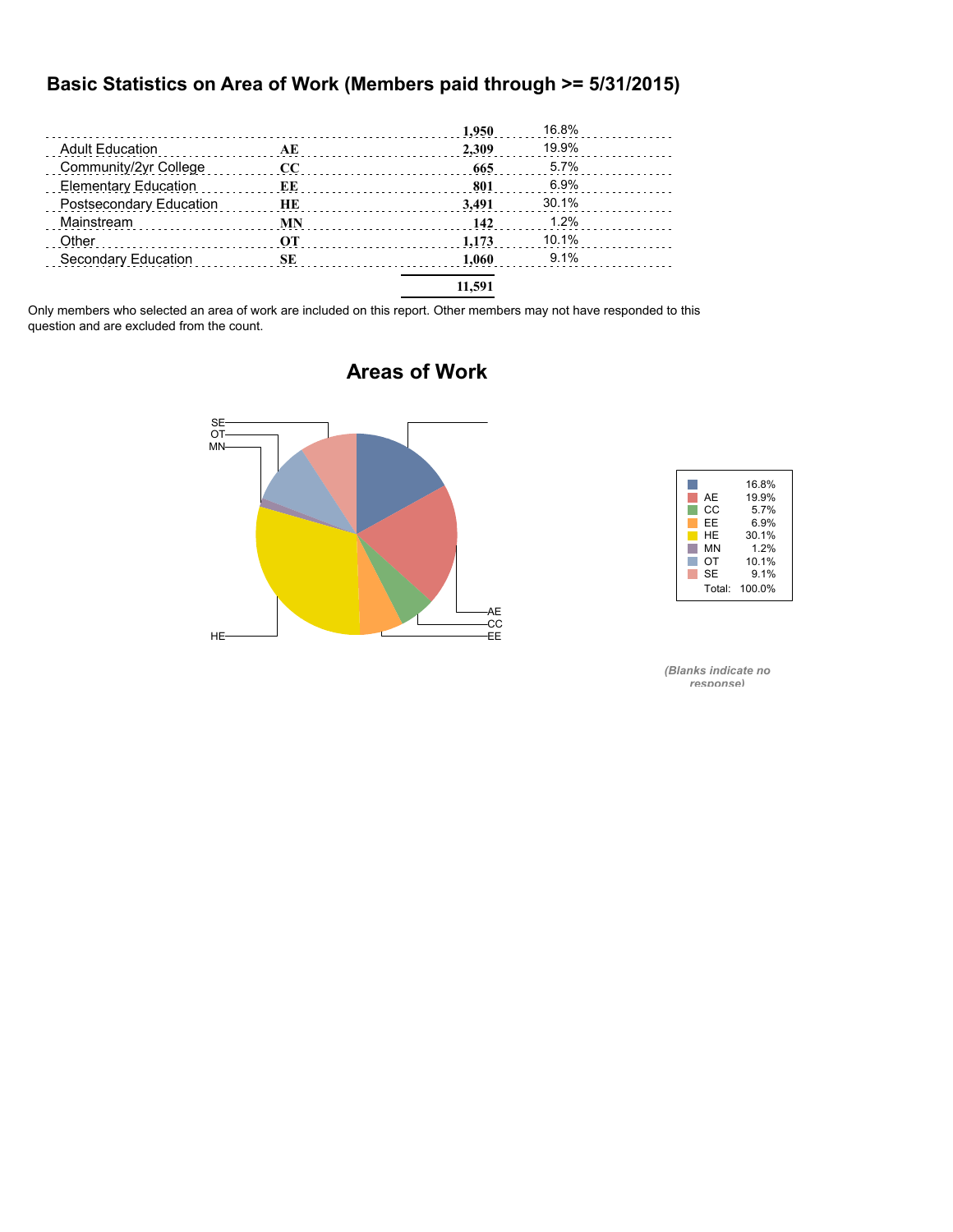#### **Basic Statistics on Area of Work (Members paid through >= 5/31/2015)**

|                                                                  |           | 1,950  | 16.8%   |  |
|------------------------------------------------------------------|-----------|--------|---------|--|
| <b>Adult Education</b><br>and a construction of the construction | AE        | 2.309  | 19.9%   |  |
| Community/2yr College                                            | cc        | 665    | $5.7\%$ |  |
| <b>Elementary Education</b>                                      | ЕE        | 801    | 6.9%    |  |
| Postsecondary Education                                          | HE        | 3.491  | 30.1%   |  |
| Mainstream                                                       | <b>MN</b> | 142    | 1.2%    |  |
| Other                                                            | OТ        | 1.173  | 10.1%   |  |
| Secondary Education                                              | SЕ        | 1.060  | 9.1%    |  |
|                                                                  |           | 11.591 |         |  |

Only members who selected an area of work are included on this report. Other members may not have responded to this question and are excluded from the count.



### **Areas of Work**



*(Blanks indicate no response)*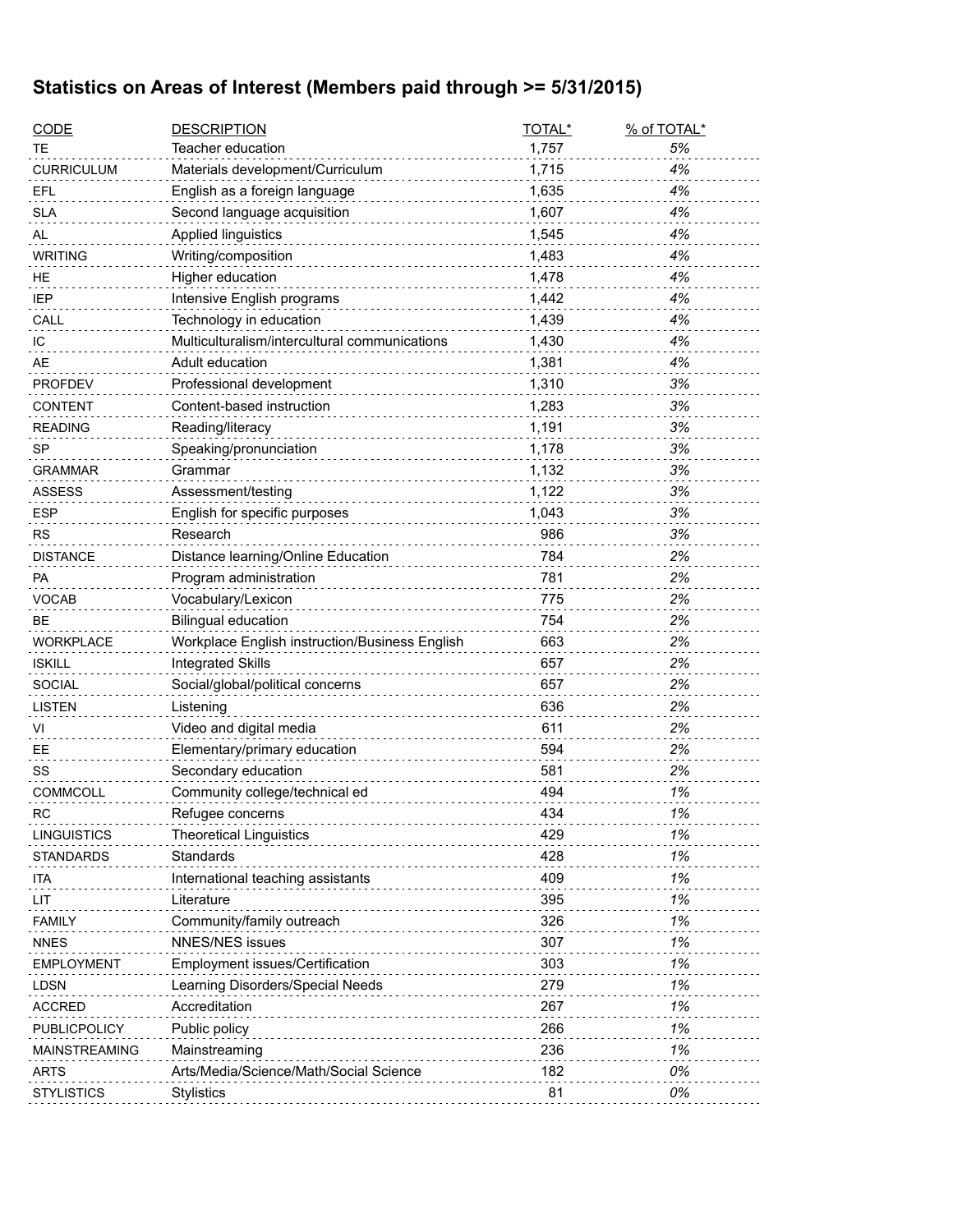# **Statistics on Areas of Interest (Members paid through >= 5/31/2015)**

| <u>CODE</u>          | <b>DESCRIPTION</b>                                  | TOTAL* | % of TOTAL* |
|----------------------|-----------------------------------------------------|--------|-------------|
| ТE                   | Teacher education                                   | 1,757  | 5%          |
| CURRICULUM           | Materials development/Curriculum                    | 1,715  | 4%          |
| EFL                  | English as a foreign language                       | 1,635  | 4%          |
| <b>SLA</b>           | Second language acquisition                         | 1,607  | 4%          |
| AL                   | Applied linguistics                                 | 1,545  | 4%          |
| <b>WRITING</b>       | Writing/composition                                 | 1,483  | 4%          |
| ΗE                   | Higher education                                    | 1,478  | 4%          |
| IEP                  | Intensive English programs                          | 1,442  | 4%          |
| CALL                 | Technology in education                             | 1,439  | 4%          |
| IС                   | Multiculturalism/intercultural communications       | 1,430  | 4%          |
| AE                   | Adult education                                     | 1,381  | 4%          |
| <b>PROFDEV</b>       | Professional development                            | 1,310  | 3%          |
| CONTENT              | Content-based instruction                           | 1,283  | 3%          |
| READING              | Reading/literacy                                    | 1,191  | 3%          |
| SP                   | Speaking/pronunciation                              | 1,178  | 3%          |
| GRAMMAR              | Grammar                                             | 1,132  | 3%          |
| ASSESS               | Assessment/testing                                  | 1,122  | 3%          |
| <b>ESP</b>           | English for specific purposes                       | 1,043  | 3%          |
| RS                   | Research                                            | 986    | 3%          |
| <b>DISTANCE</b>      | Distance learning/Online Education                  | 784    | 2%          |
| РA                   | Program administration                              | 781    | 2%          |
| VOCAB                | Vocabulary/Lexicon                                  | 775    | 2%          |
| BЕ                   | <b>Bilingual education</b>                          | 754    | 2%          |
| <b>WORKPLACE</b>     | Workplace English instruction/Business English      | 663    | 2%          |
| <b>ISKILL</b>        | <b>Integrated Skills</b>                            | 657    | 2%          |
| <b>SOCIAL</b>        | Social/global/political concerns                    | 657    | 2%          |
| LISTEN               | Listening                                           | 636    | 2%          |
|                      |                                                     | 611    |             |
| VI                   | Video and digital media                             |        | 2%<br>2%    |
| EЕ                   | Elementary/primary education<br>Secondary education | 594    |             |
| SS                   |                                                     | 581    | 2%          |
| <b>COMMCOLL</b>      | Community college/technical ed                      | 494    | 1%          |
| RC                   | Refugee concerns                                    | 434    | 1%          |
| <b>LINGUISTICS</b>   | <b>Theoretical Linguistics</b>                      | 429    | 1%          |
| STANDARDS            | Standards                                           | 428    | 1%          |
| ita                  | International teaching assistants                   | 409    | 1%          |
| LIT                  | Literature                                          | 395    | 1%          |
| <b>FAMILY</b>        | Community/family outreach                           | 326    | 1%          |
| NNES                 | <b>NNES/NES issues</b>                              | 307    | 1%          |
| <b>EMPLOYMENT</b>    | Employment issues/Certification                     | 303    | 1%          |
| LDSN                 | Learning Disorders/Special Needs                    | 279    | 1%          |
| ACCRED               | Accreditation                                       | 267    | 1%          |
| PUBLICPOLICY         | Public policy                                       | 266    | 1%          |
| <b>MAINSTREAMING</b> | Mainstreaming                                       | 236    | 1%          |
| ARTS                 | Arts/Media/Science/Math/Social Science              | 182    | 0%          |
| STYLISTICS           | <b>Stylistics</b>                                   | 81     | 0%          |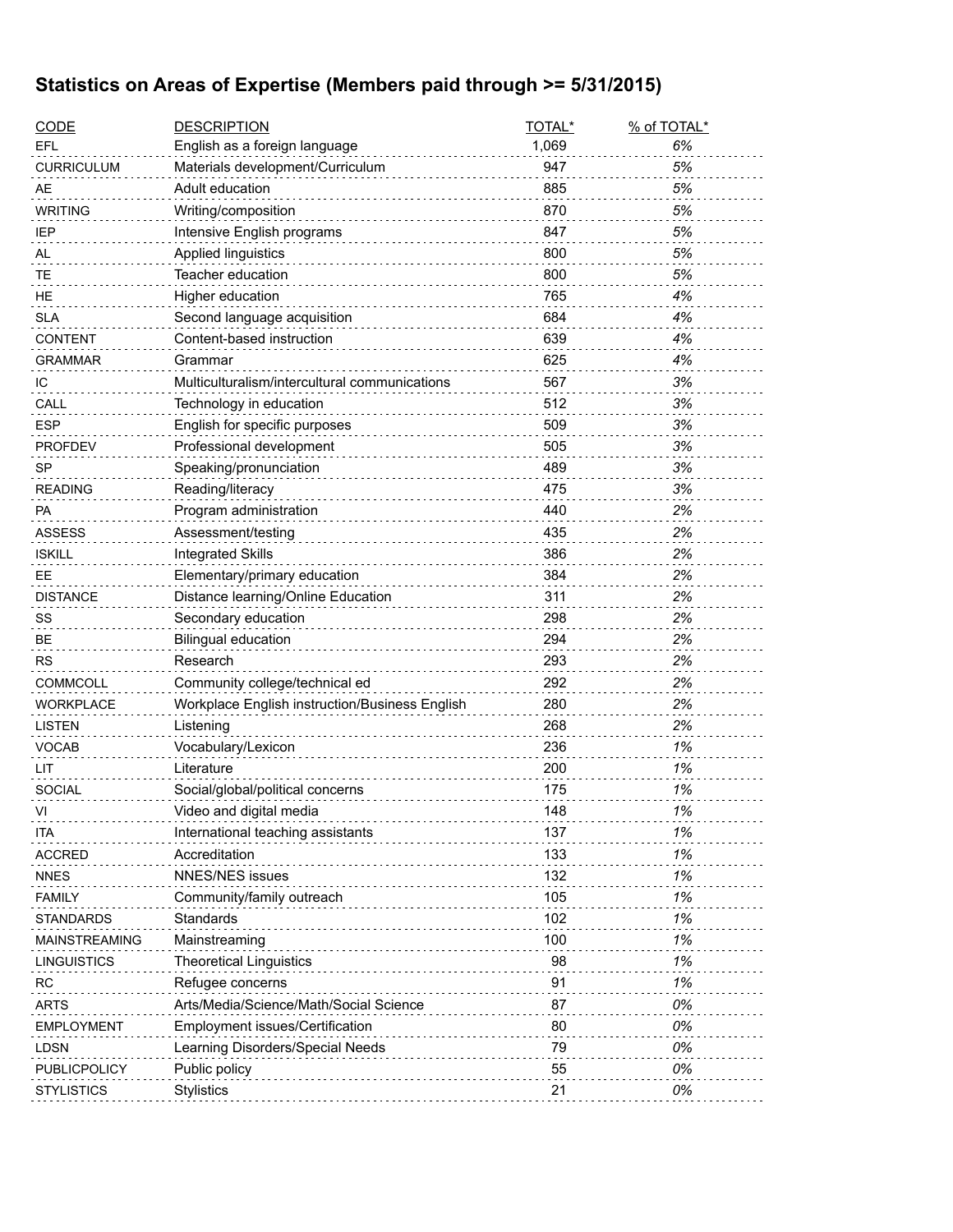### **Statistics on Areas of Expertise (Members paid through >= 5/31/2015)**

| <b>CODE</b>        | <b>DESCRIPTION</b>                             | TOTAL* | % of TOTAL* |
|--------------------|------------------------------------------------|--------|-------------|
| EFL                | English as a foreign language                  | 1,069  | 6%          |
| <b>CURRICULUM</b>  | Materials development/Curriculum               | 947    | 5%          |
| AE                 | Adult education                                | 885    | 5%          |
| <b>WRITING</b>     | Writing/composition                            | 870    | 5%          |
| IEP                | Intensive English programs                     | 847    | 5%          |
| AL                 | Applied linguistics                            | 800    | 5%          |
| TЕ                 | Teacher education                              | 800    | 5%          |
| HE                 | Higher education                               | 765    | 4%          |
| <b>SLA</b>         | Second language acquisition                    | 684    | 4%          |
| <b>CONTENT</b>     | Content-based instruction                      | 639    | 4%          |
| GRAMMAR            | Grammar                                        | 625    | 4%          |
| ТC                 | Multiculturalism/intercultural communications  | 567    | 3%          |
| CALL               | Technology in education                        | 512    | 3%          |
| <b>ESP</b>         | English for specific purposes                  | 509    | 3%          |
| <b>PROFDEV</b>     | Professional development                       | 505    | 3%          |
| <b>SP</b>          | Speaking/pronunciation                         | 489    | 3%          |
| <b>READING</b>     | Reading/literacy                               | 475    | 3%          |
| PA                 | Program administration                         | 440    | 2%          |
| <b>ASSESS</b>      | Assessment/testing                             | 435    | 2%          |
| <b>ISKILL</b>      | <b>Integrated Skills</b>                       | 386    | 2%          |
| EE                 | Elementary/primary education                   | 384    | 2%          |
| <b>DISTANCE</b>    | Distance learning/Online Education             | 311    | 2%          |
| SS                 | Secondary education                            | 298    | 2%          |
| BЕ                 | <b>Bilingual education</b>                     | 294    | 2%          |
| <b>RS</b>          | Research                                       | 293    | 2%          |
| <b>COMMCOLL</b>    | Community college/technical ed                 | 292    | 2%          |
| <b>WORKPLACE</b>   | Workplace English instruction/Business English | 280    | 2%          |
| LISTEN             | Listening                                      | 268    | 2%          |
| <b>VOCAB</b>       | Vocabulary/Lexicon                             | 236    | 1%          |
| LIT                | Literature                                     | 200    | 1%          |
| <b>SOCIAL</b>      | Social/global/political concerns               | 175    | 1%          |
| VI                 | Video and digital media                        | 148    | 1%          |
| ITA                | International teaching assistants              | 137    | 1%          |
| <b>ACCRED</b>      | Accreditation                                  | 133    | 1%          |
| <b>NNES</b>        | <b>NNES/NES issues</b>                         | 132    | 1%          |
| <b>FAMILY</b>      | Community/family outreach                      | 105    | 1%          |
| <b>STANDARDS</b>   | Standards                                      | 102    | 1%          |
| MAINSTREAMING      | Mainstreaming                                  | 100    | 1%          |
| <b>LINGUISTICS</b> | <b>Theoretical Linguistics</b>                 | 98     | 1%          |
| RC                 | Refugee concerns                               | 91     | 1%          |
| <b>ARTS</b>        | Arts/Media/Science/Math/Social Science         | 87     | 0%          |
| <b>EMPLOYMENT</b>  | Employment issues/Certification                | 80     | 0%          |
| <b>LDSN</b>        | Learning Disorders/Special Needs               | 79     | 0%          |
| PUBLICPOLICY       | Public policy                                  | 55     | 0%          |
| <b>STYLISTICS</b>  | <b>Stylistics</b>                              | 21     | 0%          |
|                    |                                                |        |             |